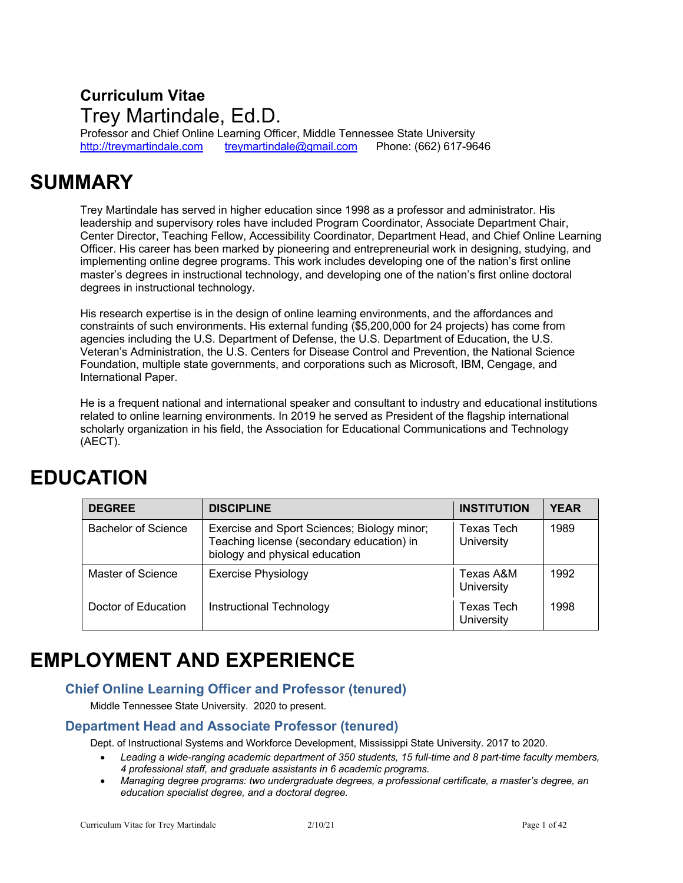## **Curriculum Vitae** Trey Martindale, Ed.D.

Professor and Chief Online Learning Officer, Middle Tennessee State University<br>http://treymartindale.com treymartindale@gmail.com Phone: (662) 617-96 treymartindale@gmail.com Phone: (662) 617-9646

## **SUMMARY**

Trey Martindale has served in higher education since 1998 as a professor and administrator. His leadership and supervisory roles have included Program Coordinator, Associate Department Chair, Center Director, Teaching Fellow, Accessibility Coordinator, Department Head, and Chief Online Learning Officer. His career has been marked by pioneering and entrepreneurial work in designing, studying, and implementing online degree programs. This work includes developing one of the nation's first online master's degrees in instructional technology, and developing one of the nation's first online doctoral degrees in instructional technology.

His research expertise is in the design of online learning environments, and the affordances and constraints of such environments. His external funding (\$5,200,000 for 24 projects) has come from agencies including the U.S. Department of Defense, the U.S. Department of Education, the U.S. Veteran's Administration, the U.S. Centers for Disease Control and Prevention, the National Science Foundation, multiple state governments, and corporations such as Microsoft, IBM, Cengage, and International Paper.

He is a frequent national and international speaker and consultant to industry and educational institutions related to online learning environments. In 2019 he served as President of the flagship international scholarly organization in his field, the Association for Educational Communications and Technology (AECT).

## **EDUCATION**

| <b>DEGREE</b>       | <b>DISCIPLINE</b>                                                                                                          | <b>INSTITUTION</b>       | <b>YEAR</b> |
|---------------------|----------------------------------------------------------------------------------------------------------------------------|--------------------------|-------------|
| Bachelor of Science | Exercise and Sport Sciences; Biology minor;<br>Teaching license (secondary education) in<br>biology and physical education | Texas Tech<br>University | 1989        |
| Master of Science   | <b>Exercise Physiology</b>                                                                                                 | Texas A&M<br>University  | 1992        |
| Doctor of Education | Instructional Technology                                                                                                   | Texas Tech<br>University | 1998        |

## **EMPLOYMENT AND EXPERIENCE**

### **Chief Online Learning Officer and Professor (tenured)**

Middle Tennessee State University. 2020 to present.

#### **Department Head and Associate Professor (tenured)**

Dept. of Instructional Systems and Workforce Development, Mississippi State University. 2017 to 2020.

- *Leading a wide-ranging academic department of 350 students, 15 full-time and 8 part-time faculty members, 4 professional staff, and graduate assistants in 6 academic programs.*
- *Managing degree programs: two undergraduate degrees, a professional certificate, a master's degree, an education specialist degree, and a doctoral degree.*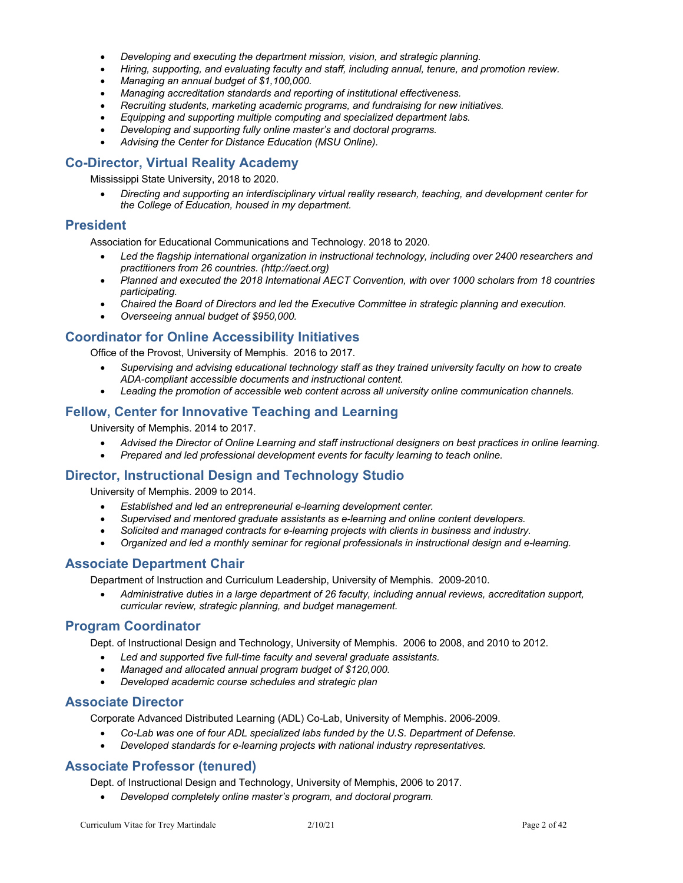- *Developing and executing the department mission, vision, and strategic planning.*
- *Hiring, supporting, and evaluating faculty and staff, including annual, tenure, and promotion review.*
- *Managing an annual budget of \$1,100,000.*
- *Managing accreditation standards and reporting of institutional effectiveness.*
- *Recruiting students, marketing academic programs, and fundraising for new initiatives.*
- *Equipping and supporting multiple computing and specialized department labs.*
- *Developing and supporting fully online master's and doctoral programs.*
- *Advising the Center for Distance Education (MSU Online).*

#### **Co-Director, Virtual Reality Academy**

Mississippi State University, 2018 to 2020.

• *Directing and supporting an interdisciplinary virtual reality research, teaching, and development center for the College of Education, housed in my department.*

#### **President**

Association for Educational Communications and Technology. 2018 to 2020.

- *Led the flagship international organization in instructional technology, including over 2400 researchers and practitioners from 26 countries. (http://aect.org)*
- *Planned and executed the 2018 International AECT Convention, with over 1000 scholars from 18 countries participating.*
- *Chaired the Board of Directors and led the Executive Committee in strategic planning and execution.*
- *Overseeing annual budget of \$950,000.*

#### **Coordinator for Online Accessibility Initiatives**

Office of the Provost, University of Memphis. 2016 to 2017.

- *Supervising and advising educational technology staff as they trained university faculty on how to create ADA-compliant accessible documents and instructional content.*
- *Leading the promotion of accessible web content across all university online communication channels.*

#### **Fellow, Center for Innovative Teaching and Learning**

University of Memphis. 2014 to 2017.

- *Advised the Director of Online Learning and staff instructional designers on best practices in online learning.*
- *Prepared and led professional development events for faculty learning to teach online.*

#### **Director, Instructional Design and Technology Studio**

University of Memphis. 2009 to 2014.

- *Established and led an entrepreneurial e-learning development center.*
- *Supervised and mentored graduate assistants as e-learning and online content developers.*
- *Solicited and managed contracts for e-learning projects with clients in business and industry.*
- *Organized and led a monthly seminar for regional professionals in instructional design and e-learning.*

#### **Associate Department Chair**

Department of Instruction and Curriculum Leadership, University of Memphis. 2009-2010.

• *Administrative duties in a large department of 26 faculty, including annual reviews, accreditation support, curricular review, strategic planning, and budget management.*

#### **Program Coordinator**

Dept. of Instructional Design and Technology, University of Memphis. 2006 to 2008, and 2010 to 2012.

- *Led and supported five full-time faculty and several graduate assistants.*
- *Managed and allocated annual program budget of \$120,000.*
- *Developed academic course schedules and strategic plan*

#### **Associate Director**

Corporate Advanced Distributed Learning (ADL) Co-Lab, University of Memphis. 2006-2009.

- *Co-Lab was one of four ADL specialized labs funded by the U.S. Department of Defense.*
- *Developed standards for e-learning projects with national industry representatives.*

#### **Associate Professor (tenured)**

Dept. of Instructional Design and Technology, University of Memphis, 2006 to 2017.

• *Developed completely online master's program, and doctoral program.*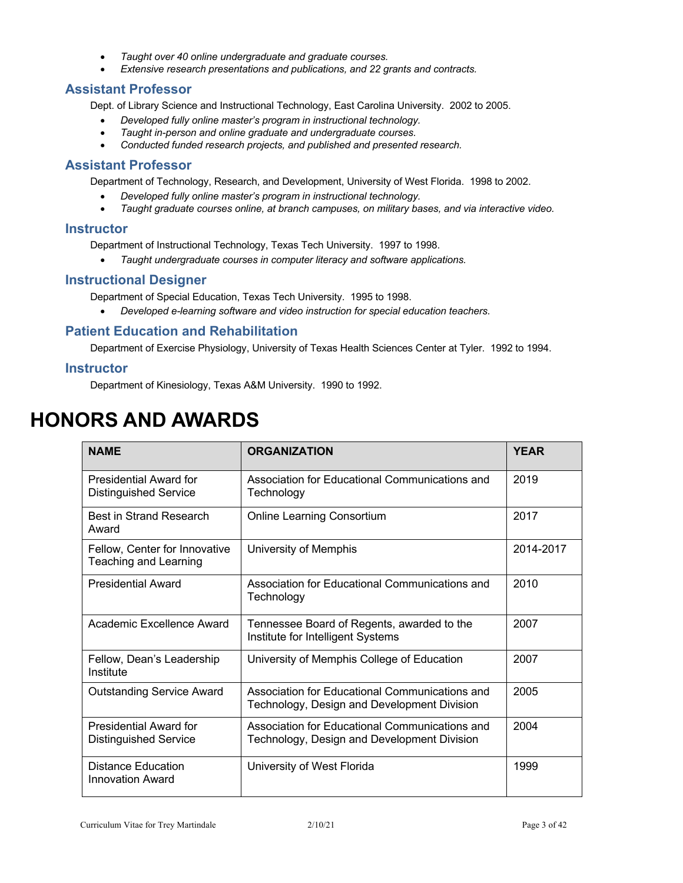- *Taught over 40 online undergraduate and graduate courses.*
- *Extensive research presentations and publications, and 22 grants and contracts.*

#### **Assistant Professor**

Dept. of Library Science and Instructional Technology, East Carolina University. 2002 to 2005.

- *Developed fully online master's program in instructional technology.*
- *Taught in-person and online graduate and undergraduate courses.*
- *Conducted funded research projects, and published and presented research.*

#### **Assistant Professor**

Department of Technology, Research, and Development, University of West Florida. 1998 to 2002.

- *Developed fully online master's program in instructional technology.*
- *Taught graduate courses online, at branch campuses, on military bases, and via interactive video.*

#### **Instructor**

Department of Instructional Technology, Texas Tech University. 1997 to 1998.

• *Taught undergraduate courses in computer literacy and software applications.*

#### **Instructional Designer**

Department of Special Education, Texas Tech University. 1995 to 1998.

• *Developed e-learning software and video instruction for special education teachers.*

#### **Patient Education and Rehabilitation**

Department of Exercise Physiology, University of Texas Health Sciences Center at Tyler. 1992 to 1994.

#### **Instructor**

Department of Kinesiology, Texas A&M University. 1990 to 1992.

# **HONORS AND AWARDS**

| <b>NAME</b>                                                   | <b>ORGANIZATION</b>                                                                           | <b>YEAR</b> |
|---------------------------------------------------------------|-----------------------------------------------------------------------------------------------|-------------|
| <b>Presidential Award for</b><br><b>Distinguished Service</b> | Association for Educational Communications and<br>Technology                                  | 2019        |
| <b>Best in Strand Research</b><br>Award                       | Online Learning Consortium                                                                    | 2017        |
| Fellow, Center for Innovative<br>Teaching and Learning        | University of Memphis                                                                         | 2014-2017   |
| <b>Presidential Award</b>                                     | Association for Educational Communications and<br>Technology                                  | 2010        |
| Academic Excellence Award                                     | Tennessee Board of Regents, awarded to the<br>Institute for Intelligent Systems               | 2007        |
| Fellow, Dean's Leadership<br>Institute                        | University of Memphis College of Education                                                    | 2007        |
| <b>Outstanding Service Award</b>                              | Association for Educational Communications and<br>Technology, Design and Development Division | 2005        |
| <b>Presidential Award for</b><br><b>Distinguished Service</b> | Association for Educational Communications and<br>Technology, Design and Development Division | 2004        |
| Distance Education<br>Innovation Award                        | University of West Florida                                                                    | 1999        |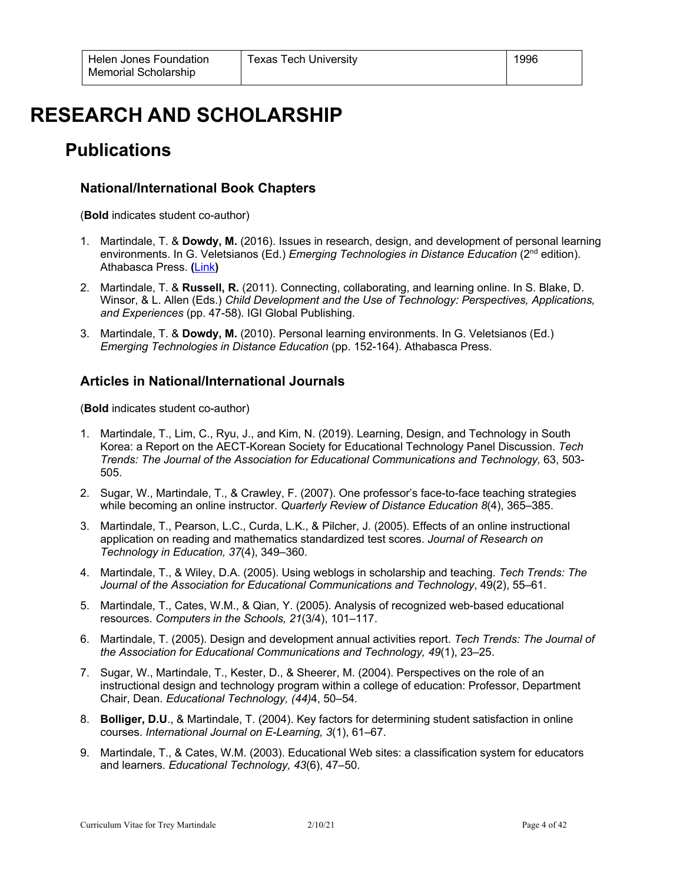# **RESEARCH AND SCHOLARSHIP**

## **Publications**

### **National/International Book Chapters**

(**Bold** indicates student co-author)

- 1. Martindale, T. & **Dowdy, M.** (2016). Issues in research, design, and development of personal learning environments. In G. Veletsianos (Ed.) *Emerging Technologies in Distance Education* (2nd edition). Athabasca Press. **(**Link**)**
- 2. Martindale, T. & **Russell, R.** (2011). Connecting, collaborating, and learning online. In S. Blake, D. Winsor, & L. Allen (Eds.) *Child Development and the Use of Technology: Perspectives, Applications, and Experiences* (pp. 47-58). IGI Global Publishing.
- 3. Martindale, T. & **Dowdy, M.** (2010). Personal learning environments. In G. Veletsianos (Ed.) *Emerging Technologies in Distance Education* (pp. 152-164). Athabasca Press.

### **Articles in National/International Journals**

(**Bold** indicates student co-author)

- 1. Martindale, T., Lim, C., Ryu, J., and Kim, N. (2019). Learning, Design, and Technology in South Korea: a Report on the AECT-Korean Society for Educational Technology Panel Discussion. *Tech Trends: The Journal of the Association for Educational Communications and Technology,* 63, 503- 505.
- 2. Sugar, W., Martindale, T., & Crawley, F. (2007). One professor's face-to-face teaching strategies while becoming an online instructor. *Quarterly Review of Distance Education 8*(4), 365–385.
- 3. Martindale, T., Pearson, L.C., Curda, L.K., & Pilcher, J. (2005). Effects of an online instructional application on reading and mathematics standardized test scores. *Journal of Research on Technology in Education, 37*(4), 349–360.
- 4. Martindale, T., & Wiley, D.A. (2005). Using weblogs in scholarship and teaching. *Tech Trends: The Journal of the Association for Educational Communications and Technology*, 49(2), 55–61.
- 5. Martindale, T., Cates, W.M., & Qian, Y. (2005). Analysis of recognized web-based educational resources. *Computers in the Schools, 21*(3/4), 101–117.
- 6. Martindale, T. (2005). Design and development annual activities report. *Tech Trends: The Journal of the Association for Educational Communications and Technology, 49*(1), 23–25.
- 7. Sugar, W., Martindale, T., Kester, D., & Sheerer, M. (2004). Perspectives on the role of an instructional design and technology program within a college of education: Professor, Department Chair, Dean. *Educational Technology, (44)*4, 50–54*.*
- 8. **Bolliger, D.U**., & Martindale, T. (2004). Key factors for determining student satisfaction in online courses. *International Journal on E-Learning, 3*(1), 61–67.
- 9. Martindale, T., & Cates, W.M. (2003). Educational Web sites: a classification system for educators and learners. *Educational Technology, 43*(6), 47–50.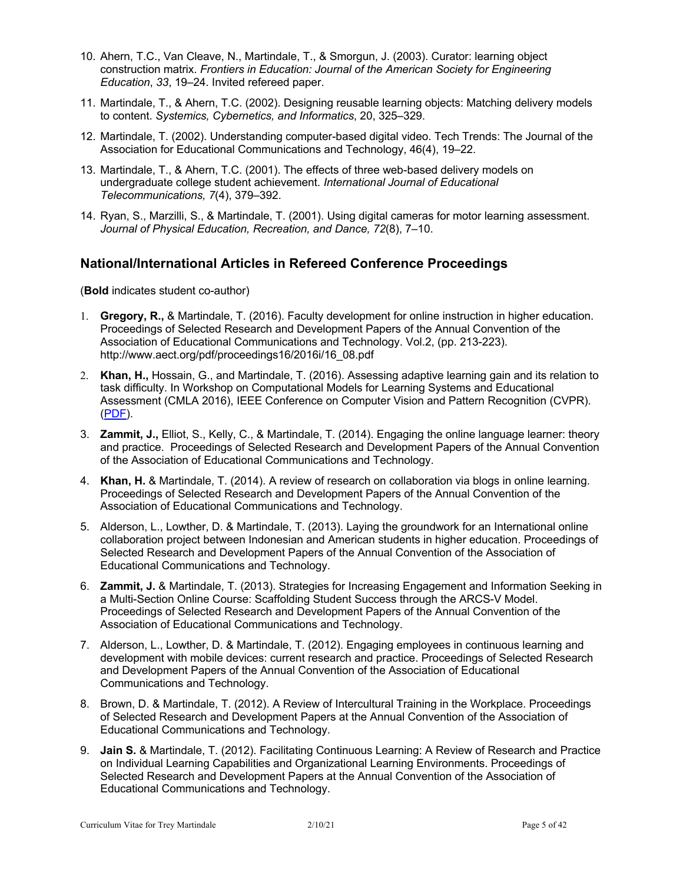- 10. Ahern, T.C., Van Cleave, N., Martindale, T., & Smorgun, J. (2003). Curator: learning object construction matrix. *Frontiers in Education: Journal of the American Society for Engineering Education*, *33*, 19–24. Invited refereed paper.
- 11. Martindale, T., & Ahern, T.C. (2002). Designing reusable learning objects: Matching delivery models to content. *Systemics, Cybernetics, and Informatics*, 20, 325–329.
- 12. Martindale, T. (2002). Understanding computer-based digital video. Tech Trends: The Journal of the Association for Educational Communications and Technology, 46(4), 19–22.
- 13. Martindale, T., & Ahern, T.C. (2001). The effects of three web-based delivery models on undergraduate college student achievement. *International Journal of Educational Telecommunications, 7*(4), 379–392.
- 14. Ryan, S., Marzilli, S., & Martindale, T. (2001). Using digital cameras for motor learning assessment. *Journal of Physical Education, Recreation, and Dance, 72*(8), 7–10.

#### **National/International Articles in Refereed Conference Proceedings**

(**Bold** indicates student co-author)

- 1. **Gregory, R.,** & Martindale, T. (2016). Faculty development for online instruction in higher education. Proceedings of Selected Research and Development Papers of the Annual Convention of the Association of Educational Communications and Technology. Vol.2, (pp. 213-223). http://www.aect.org/pdf/proceedings16/2016i/16\_08.pdf
- 2. **Khan, H.,** Hossain, G., and Martindale, T. (2016). Assessing adaptive learning gain and its relation to task difficulty. In Workshop on Computational Models for Learning Systems and Educational Assessment (CMLA 2016), IEEE Conference on Computer Vision and Pattern Recognition (CVPR). (PDF).
- 3. **Zammit, J.,** Elliot, S., Kelly, C., & Martindale, T. (2014). Engaging the online language learner: theory and practice. Proceedings of Selected Research and Development Papers of the Annual Convention of the Association of Educational Communications and Technology.
- 4. **Khan, H.** & Martindale, T. (2014). A review of research on collaboration via blogs in online learning. Proceedings of Selected Research and Development Papers of the Annual Convention of the Association of Educational Communications and Technology.
- 5. Alderson, L., Lowther, D. & Martindale, T. (2013). Laying the groundwork for an International online collaboration project between Indonesian and American students in higher education. Proceedings of Selected Research and Development Papers of the Annual Convention of the Association of Educational Communications and Technology.
- 6. **Zammit, J.** & Martindale, T. (2013). Strategies for Increasing Engagement and Information Seeking in a Multi-Section Online Course: Scaffolding Student Success through the ARCS-V Model. Proceedings of Selected Research and Development Papers of the Annual Convention of the Association of Educational Communications and Technology.
- 7. Alderson, L., Lowther, D. & Martindale, T. (2012). Engaging employees in continuous learning and development with mobile devices: current research and practice. Proceedings of Selected Research and Development Papers of the Annual Convention of the Association of Educational Communications and Technology.
- 8. Brown, D. & Martindale, T. (2012). A Review of Intercultural Training in the Workplace. Proceedings of Selected Research and Development Papers at the Annual Convention of the Association of Educational Communications and Technology.
- 9. **Jain S.** & Martindale, T. (2012). Facilitating Continuous Learning: A Review of Research and Practice on Individual Learning Capabilities and Organizational Learning Environments. Proceedings of Selected Research and Development Papers at the Annual Convention of the Association of Educational Communications and Technology.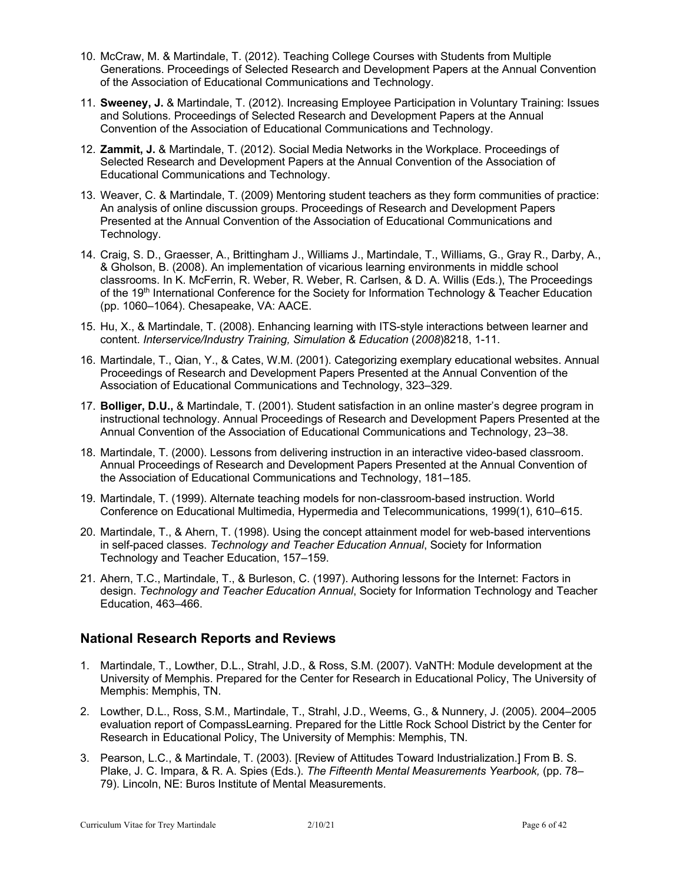- 10. McCraw, M. & Martindale, T. (2012). Teaching College Courses with Students from Multiple Generations. Proceedings of Selected Research and Development Papers at the Annual Convention of the Association of Educational Communications and Technology.
- 11. **Sweeney, J.** & Martindale, T. (2012). Increasing Employee Participation in Voluntary Training: Issues and Solutions. Proceedings of Selected Research and Development Papers at the Annual Convention of the Association of Educational Communications and Technology.
- 12. **Zammit, J.** & Martindale, T. (2012). Social Media Networks in the Workplace. Proceedings of Selected Research and Development Papers at the Annual Convention of the Association of Educational Communications and Technology.
- 13. Weaver, C. & Martindale, T. (2009) Mentoring student teachers as they form communities of practice: An analysis of online discussion groups. Proceedings of Research and Development Papers Presented at the Annual Convention of the Association of Educational Communications and Technology.
- 14. Craig, S. D., Graesser, A., Brittingham J., Williams J., Martindale, T., Williams, G., Gray R., Darby, A., & Gholson, B. (2008). An implementation of vicarious learning environments in middle school classrooms. In K. McFerrin, R. Weber, R. Weber, R. Carlsen, & D. A. Willis (Eds.), The Proceedings of the 19<sup>th</sup> International Conference for the Society for Information Technology & Teacher Education (pp. 1060–1064). Chesapeake, VA: AACE.
- 15. Hu, X., & Martindale, T. (2008). Enhancing learning with ITS-style interactions between learner and content. *Interservice/Industry Training, Simulation & Education* (*2008*)8218, 1-11.
- 16. Martindale, T., Qian, Y., & Cates, W.M. (2001). Categorizing exemplary educational websites. Annual Proceedings of Research and Development Papers Presented at the Annual Convention of the Association of Educational Communications and Technology, 323–329.
- 17. **Bolliger, D.U.,** & Martindale, T. (2001). Student satisfaction in an online master's degree program in instructional technology. Annual Proceedings of Research and Development Papers Presented at the Annual Convention of the Association of Educational Communications and Technology, 23–38.
- 18. Martindale, T. (2000). Lessons from delivering instruction in an interactive video-based classroom. Annual Proceedings of Research and Development Papers Presented at the Annual Convention of the Association of Educational Communications and Technology, 181–185.
- 19. Martindale, T. (1999). Alternate teaching models for non-classroom-based instruction. World Conference on Educational Multimedia, Hypermedia and Telecommunications, 1999(1), 610–615.
- 20. Martindale, T., & Ahern, T. (1998). Using the concept attainment model for web-based interventions in self-paced classes. *Technology and Teacher Education Annual*, Society for Information Technology and Teacher Education, 157–159.
- 21. Ahern, T.C., Martindale, T., & Burleson, C. (1997). Authoring lessons for the Internet: Factors in design. *Technology and Teacher Education Annual*, Society for Information Technology and Teacher Education, 463–466.

### **National Research Reports and Reviews**

- 1. Martindale, T., Lowther, D.L., Strahl, J.D., & Ross, S.M. (2007). VaNTH: Module development at the University of Memphis. Prepared for the Center for Research in Educational Policy, The University of Memphis: Memphis, TN.
- 2. Lowther, D.L., Ross, S.M., Martindale, T., Strahl, J.D., Weems, G., & Nunnery, J. (2005). 2004–2005 evaluation report of CompassLearning. Prepared for the Little Rock School District by the Center for Research in Educational Policy, The University of Memphis: Memphis, TN.
- 3. Pearson, L.C., & Martindale, T. (2003). [Review of Attitudes Toward Industrialization.] From B. S. Plake, J. C. Impara, & R. A. Spies (Eds.). *The Fifteenth Mental Measurements Yearbook,* (pp. 78– 79). Lincoln, NE: Buros Institute of Mental Measurements.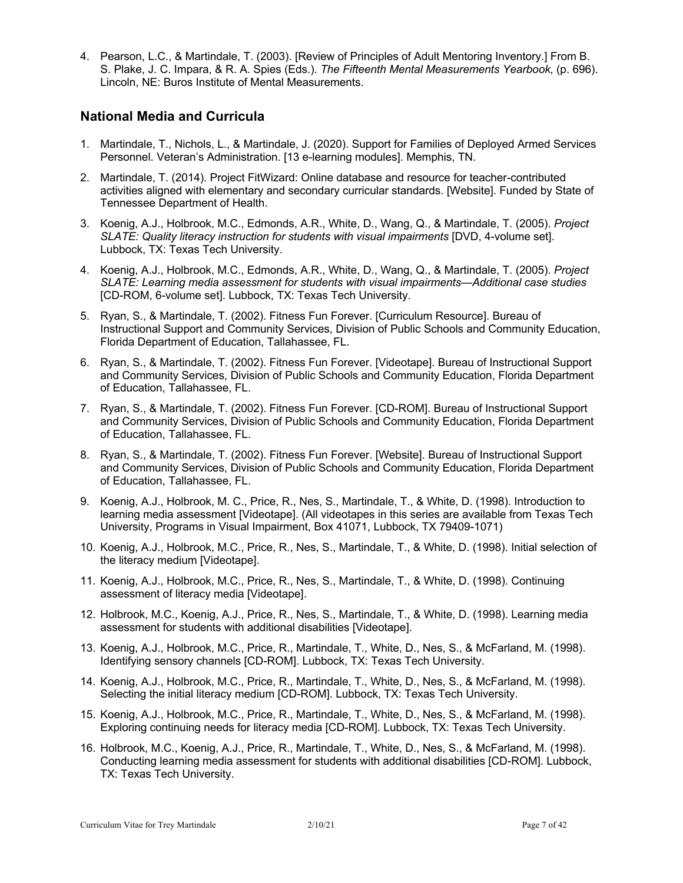4. Pearson, L.C., & Martindale, T. (2003). [Review of Principles of Adult Mentoring Inventory.] From B. S. Plake, J. C. Impara, & R. A. Spies (Eds.). *The Fifteenth Mental Measurements Yearbook,* (p. 696). Lincoln, NE: Buros Institute of Mental Measurements.

#### **National Media and Curricula**

- 1. Martindale, T., Nichols, L., & Martindale, J. (2020). Support for Families of Deployed Armed Services Personnel. Veteran's Administration. [13 e-learning modules]. Memphis, TN.
- 2. Martindale, T. (2014). Project FitWizard: Online database and resource for teacher-contributed activities aligned with elementary and secondary curricular standards. [Website]. Funded by State of Tennessee Department of Health.
- 3. Koenig, A.J., Holbrook, M.C., Edmonds, A.R., White, D., Wang, Q., & Martindale, T. (2005). *Project SLATE: Quality literacy instruction for students with visual impairments* [DVD, 4-volume set]. Lubbock, TX: Texas Tech University.
- 4. Koenig, A.J., Holbrook, M.C., Edmonds, A.R., White, D., Wang, Q., & Martindale, T. (2005). *Project SLATE: Learning media assessment for students with visual impairments—Additional case studies* [CD-ROM, 6-volume set]. Lubbock, TX: Texas Tech University.
- 5. Ryan, S., & Martindale, T. (2002). Fitness Fun Forever. [Curriculum Resource]. Bureau of Instructional Support and Community Services, Division of Public Schools and Community Education, Florida Department of Education, Tallahassee, FL.
- 6. Ryan, S., & Martindale, T. (2002). Fitness Fun Forever. [Videotape]. Bureau of Instructional Support and Community Services, Division of Public Schools and Community Education, Florida Department of Education, Tallahassee, FL.
- 7. Ryan, S., & Martindale, T. (2002). Fitness Fun Forever. [CD-ROM]. Bureau of Instructional Support and Community Services, Division of Public Schools and Community Education, Florida Department of Education, Tallahassee, FL.
- 8. Ryan, S., & Martindale, T. (2002). Fitness Fun Forever. [Website]. Bureau of Instructional Support and Community Services, Division of Public Schools and Community Education, Florida Department of Education, Tallahassee, FL.
- 9. Koenig, A.J., Holbrook, M. C., Price, R., Nes, S., Martindale, T., & White, D. (1998). Introduction to learning media assessment [Videotape]. (All videotapes in this series are available from Texas Tech University, Programs in Visual Impairment, Box 41071, Lubbock, TX 79409-1071)
- 10. Koenig, A.J., Holbrook, M.C., Price, R., Nes, S., Martindale, T., & White, D. (1998). Initial selection of the literacy medium [Videotape].
- 11. Koenig, A.J., Holbrook, M.C., Price, R., Nes, S., Martindale, T., & White, D. (1998). Continuing assessment of literacy media [Videotape].
- 12. Holbrook, M.C., Koenig, A.J., Price, R., Nes, S., Martindale, T., & White, D. (1998). Learning media assessment for students with additional disabilities [Videotape].
- 13. Koenig, A.J., Holbrook, M.C., Price, R., Martindale, T., White, D., Nes, S., & McFarland, M. (1998). Identifying sensory channels [CD-ROM]. Lubbock, TX: Texas Tech University.
- 14. Koenig, A.J., Holbrook, M.C., Price, R., Martindale, T., White, D., Nes, S., & McFarland, M. (1998). Selecting the initial literacy medium [CD-ROM]. Lubbock, TX: Texas Tech University.
- 15. Koenig, A.J., Holbrook, M.C., Price, R., Martindale, T., White, D., Nes, S., & McFarland, M. (1998). Exploring continuing needs for literacy media [CD-ROM]. Lubbock, TX: Texas Tech University.
- 16. Holbrook, M.C., Koenig, A.J., Price, R., Martindale, T., White, D., Nes, S., & McFarland, M. (1998). Conducting learning media assessment for students with additional disabilities [CD-ROM]. Lubbock, TX: Texas Tech University.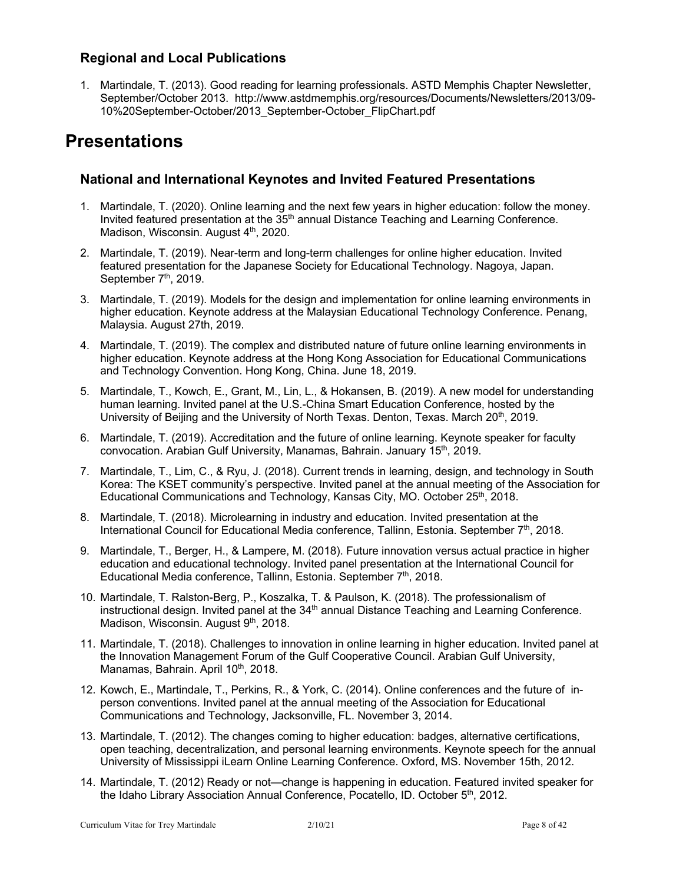### **Regional and Local Publications**

1. Martindale, T. (2013). Good reading for learning professionals. ASTD Memphis Chapter Newsletter, September/October 2013. http://www.astdmemphis.org/resources/Documents/Newsletters/2013/09- 10%20September-October/2013\_September-October\_FlipChart.pdf

## **Presentations**

### **National and International Keynotes and Invited Featured Presentations**

- 1. Martindale, T. (2020). Online learning and the next few years in higher education: follow the money. Invited featured presentation at the 35<sup>th</sup> annual Distance Teaching and Learning Conference. Madison, Wisconsin. August 4<sup>th</sup>, 2020.
- 2. Martindale, T. (2019). Near-term and long-term challenges for online higher education. Invited featured presentation for the Japanese Society for Educational Technology. Nagoya, Japan. September 7<sup>th</sup>, 2019.
- 3. Martindale, T. (2019). Models for the design and implementation for online learning environments in higher education. Keynote address at the Malaysian Educational Technology Conference. Penang, Malaysia. August 27th, 2019.
- 4. Martindale, T. (2019). The complex and distributed nature of future online learning environments in higher education. Keynote address at the Hong Kong Association for Educational Communications and Technology Convention. Hong Kong, China. June 18, 2019.
- 5. Martindale, T., Kowch, E., Grant, M., Lin, L., & Hokansen, B. (2019). A new model for understanding human learning. Invited panel at the U.S.-China Smart Education Conference, hosted by the University of Beijing and the University of North Texas. Denton, Texas. March 20<sup>th</sup>, 2019.
- 6. Martindale, T. (2019). Accreditation and the future of online learning. Keynote speaker for faculty convocation. Arabian Gulf University, Manamas, Bahrain. January 15th, 2019.
- 7. Martindale, T., Lim, C., & Ryu, J. (2018). Current trends in learning, design, and technology in South Korea: The KSET community's perspective. Invited panel at the annual meeting of the Association for Educational Communications and Technology, Kansas City, MO. October 25<sup>th</sup>, 2018.
- 8. Martindale, T. (2018). Microlearning in industry and education. Invited presentation at the International Council for Educational Media conference, Tallinn, Estonia. September  $7<sup>th</sup>$ , 2018.
- 9. Martindale, T., Berger, H., & Lampere, M. (2018). Future innovation versus actual practice in higher education and educational technology. Invited panel presentation at the International Council for Educational Media conference, Tallinn, Estonia. September 7<sup>th</sup>, 2018.
- 10. Martindale, T. Ralston-Berg, P., Koszalka, T. & Paulson, K. (2018). The professionalism of instructional design. Invited panel at the 34<sup>th</sup> annual Distance Teaching and Learning Conference. Madison, Wisconsin. August 9<sup>th</sup>, 2018.
- 11. Martindale, T. (2018). Challenges to innovation in online learning in higher education. Invited panel at the Innovation Management Forum of the Gulf Cooperative Council. Arabian Gulf University, Manamas, Bahrain. April 10<sup>th</sup>, 2018.
- 12. Kowch, E., Martindale, T., Perkins, R., & York, C. (2014). Online conferences and the future of inperson conventions. Invited panel at the annual meeting of the Association for Educational Communications and Technology, Jacksonville, FL. November 3, 2014.
- 13. Martindale, T. (2012). The changes coming to higher education: badges, alternative certifications, open teaching, decentralization, and personal learning environments. Keynote speech for the annual University of Mississippi iLearn Online Learning Conference. Oxford, MS. November 15th, 2012.
- 14. Martindale, T. (2012) Ready or not—change is happening in education. Featured invited speaker for the Idaho Library Association Annual Conference, Pocatello, ID. October 5th, 2012.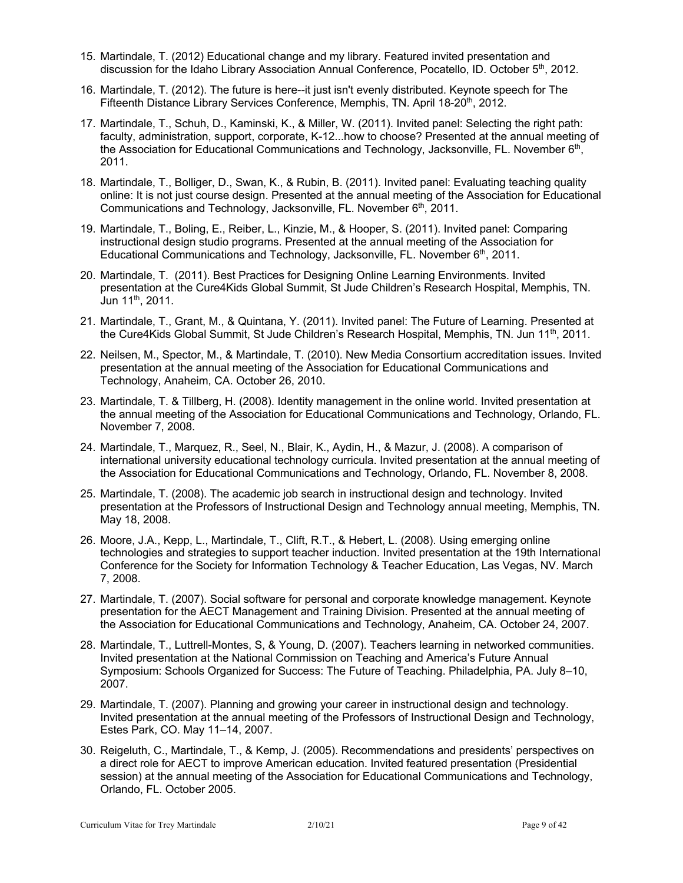- 15. Martindale, T. (2012) Educational change and my library. Featured invited presentation and discussion for the Idaho Library Association Annual Conference, Pocatello, ID. October 5th, 2012.
- 16. Martindale, T. (2012). The future is here--it just isn't evenly distributed. Keynote speech for The Fifteenth Distance Library Services Conference, Memphis, TN. April 18-20th, 2012.
- 17. Martindale, T., Schuh, D., Kaminski, K., & Miller, W. (2011). Invited panel: Selecting the right path: faculty, administration, support, corporate, K-12...how to choose? Presented at the annual meeting of the Association for Educational Communications and Technology, Jacksonville, FL. November  $6<sup>th</sup>$ , 2011.
- 18. Martindale, T., Bolliger, D., Swan, K., & Rubin, B. (2011). Invited panel: Evaluating teaching quality online: It is not just course design. Presented at the annual meeting of the Association for Educational Communications and Technology, Jacksonville, FL. November 6<sup>th</sup>, 2011.
- 19. Martindale, T., Boling, E., Reiber, L., Kinzie, M., & Hooper, S. (2011). Invited panel: Comparing instructional design studio programs. Presented at the annual meeting of the Association for Educational Communications and Technology, Jacksonville, FL. November  $6<sup>th</sup>$ , 2011.
- 20. Martindale, T. (2011). Best Practices for Designing Online Learning Environments. Invited presentation at the Cure4Kids Global Summit, St Jude Children's Research Hospital, Memphis, TN. Jun 11th, 2011.
- 21. Martindale, T., Grant, M., & Quintana, Y. (2011). Invited panel: The Future of Learning. Presented at the Cure4Kids Global Summit, St Jude Children's Research Hospital, Memphis, TN. Jun 11<sup>th</sup>, 2011.
- 22. Neilsen, M., Spector, M., & Martindale, T. (2010). New Media Consortium accreditation issues. Invited presentation at the annual meeting of the Association for Educational Communications and Technology, Anaheim, CA. October 26, 2010.
- 23. Martindale, T. & Tillberg, H. (2008). Identity management in the online world. Invited presentation at the annual meeting of the Association for Educational Communications and Technology, Orlando, FL. November 7, 2008.
- 24. Martindale, T., Marquez, R., Seel, N., Blair, K., Aydin, H., & Mazur, J. (2008). A comparison of international university educational technology curricula. Invited presentation at the annual meeting of the Association for Educational Communications and Technology, Orlando, FL. November 8, 2008.
- 25. Martindale, T. (2008). The academic job search in instructional design and technology. Invited presentation at the Professors of Instructional Design and Technology annual meeting, Memphis, TN. May 18, 2008.
- 26. Moore, J.A., Kepp, L., Martindale, T., Clift, R.T., & Hebert, L. (2008). Using emerging online technologies and strategies to support teacher induction. Invited presentation at the 19th International Conference for the Society for Information Technology & Teacher Education, Las Vegas, NV. March 7, 2008.
- 27. Martindale, T. (2007). Social software for personal and corporate knowledge management. Keynote presentation for the AECT Management and Training Division. Presented at the annual meeting of the Association for Educational Communications and Technology, Anaheim, CA. October 24, 2007.
- 28. Martindale, T., Luttrell-Montes, S, & Young, D. (2007). Teachers learning in networked communities. Invited presentation at the National Commission on Teaching and America's Future Annual Symposium: Schools Organized for Success: The Future of Teaching. Philadelphia, PA. July 8–10, 2007.
- 29. Martindale, T. (2007). Planning and growing your career in instructional design and technology. Invited presentation at the annual meeting of the Professors of Instructional Design and Technology, Estes Park, CO. May 11–14, 2007.
- 30. Reigeluth, C., Martindale, T., & Kemp, J. (2005). Recommendations and presidents' perspectives on a direct role for AECT to improve American education. Invited featured presentation (Presidential session) at the annual meeting of the Association for Educational Communications and Technology, Orlando, FL. October 2005.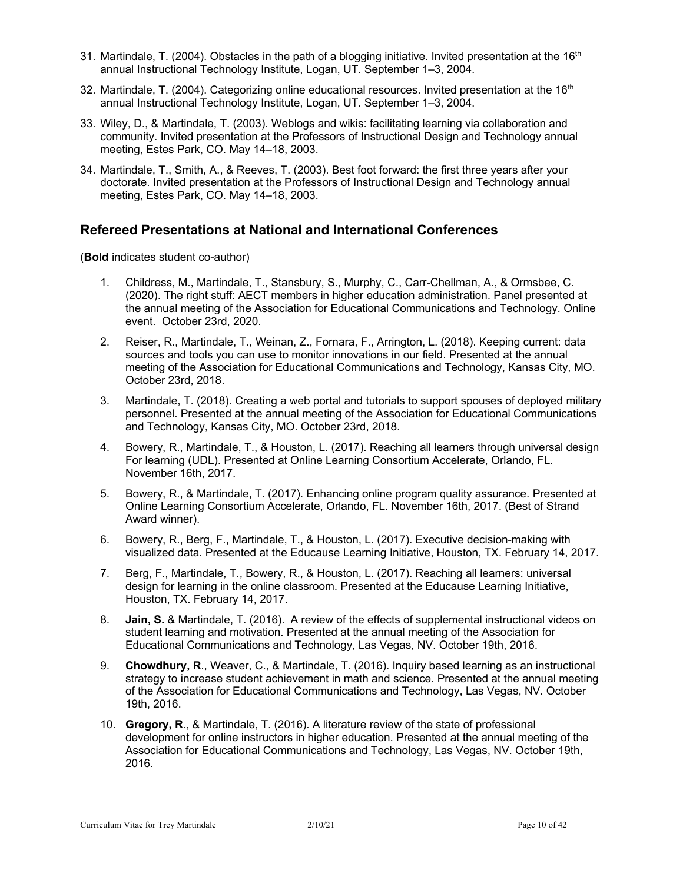- 31. Martindale, T. (2004). Obstacles in the path of a blogging initiative. Invited presentation at the  $16<sup>th</sup>$ annual Instructional Technology Institute, Logan, UT. September 1–3, 2004.
- 32. Martindale, T. (2004). Categorizing online educational resources. Invited presentation at the  $16<sup>th</sup>$ annual Instructional Technology Institute, Logan, UT. September 1–3, 2004.
- 33. Wiley, D., & Martindale, T. (2003). Weblogs and wikis: facilitating learning via collaboration and community. Invited presentation at the Professors of Instructional Design and Technology annual meeting, Estes Park, CO. May 14–18, 2003.
- 34. Martindale, T., Smith, A., & Reeves, T. (2003). Best foot forward: the first three years after your doctorate. Invited presentation at the Professors of Instructional Design and Technology annual meeting, Estes Park, CO. May 14–18, 2003.

#### **Refereed Presentations at National and International Conferences**

(**Bold** indicates student co-author)

- 1. Childress, M., Martindale, T., Stansbury, S., Murphy, C., Carr-Chellman, A., & Ormsbee, C. (2020). The right stuff: AECT members in higher education administration. Panel presented at the annual meeting of the Association for Educational Communications and Technology. Online event. October 23rd, 2020.
- 2. Reiser, R., Martindale, T., Weinan, Z., Fornara, F., Arrington, L. (2018). Keeping current: data sources and tools you can use to monitor innovations in our field. Presented at the annual meeting of the Association for Educational Communications and Technology, Kansas City, MO. October 23rd, 2018.
- 3. Martindale, T. (2018). Creating a web portal and tutorials to support spouses of deployed military personnel. Presented at the annual meeting of the Association for Educational Communications and Technology, Kansas City, MO. October 23rd, 2018.
- 4. Bowery, R., Martindale, T., & Houston, L. (2017). Reaching all learners through universal design For learning (UDL). Presented at Online Learning Consortium Accelerate, Orlando, FL. November 16th, 2017.
- 5. Bowery, R., & Martindale, T. (2017). Enhancing online program quality assurance. Presented at Online Learning Consortium Accelerate, Orlando, FL. November 16th, 2017. (Best of Strand Award winner).
- 6. Bowery, R., Berg, F., Martindale, T., & Houston, L. (2017). Executive decision-making with visualized data. Presented at the Educause Learning Initiative, Houston, TX. February 14, 2017.
- 7. Berg, F., Martindale, T., Bowery, R., & Houston, L. (2017). Reaching all learners: universal design for learning in the online classroom. Presented at the Educause Learning Initiative, Houston, TX. February 14, 2017.
- 8. **Jain, S.** & Martindale, T. (2016). A review of the effects of supplemental instructional videos on student learning and motivation. Presented at the annual meeting of the Association for Educational Communications and Technology, Las Vegas, NV. October 19th, 2016.
- 9. **Chowdhury, R**., Weaver, C., & Martindale, T. (2016). Inquiry based learning as an instructional strategy to increase student achievement in math and science. Presented at the annual meeting of the Association for Educational Communications and Technology, Las Vegas, NV. October 19th, 2016.
- 10. **Gregory, R**., & Martindale, T. (2016). A literature review of the state of professional development for online instructors in higher education. Presented at the annual meeting of the Association for Educational Communications and Technology, Las Vegas, NV. October 19th, 2016.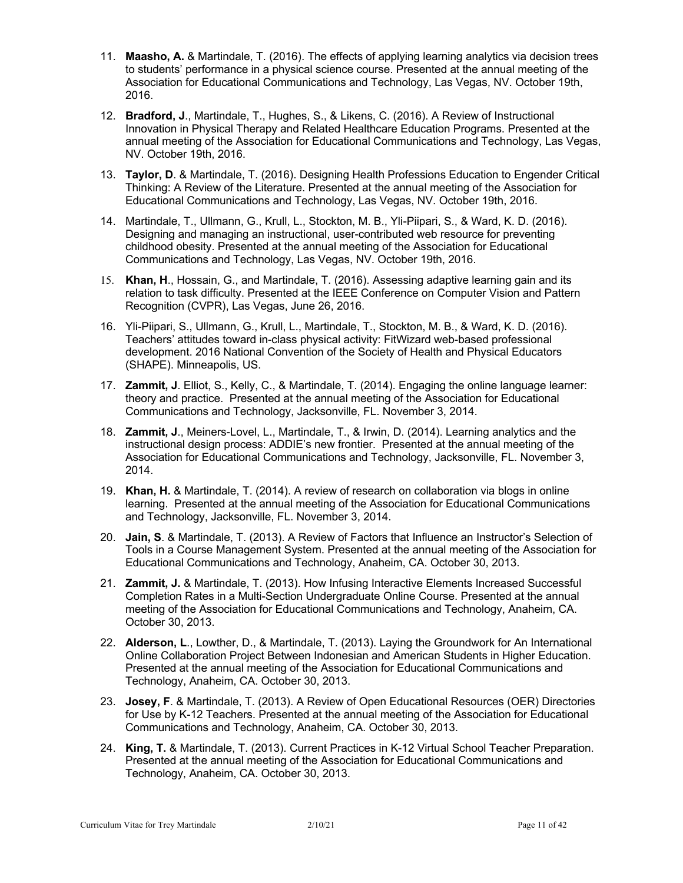- 11. **Maasho, A.** & Martindale, T. (2016). The effects of applying learning analytics via decision trees to students' performance in a physical science course. Presented at the annual meeting of the Association for Educational Communications and Technology, Las Vegas, NV. October 19th, 2016.
- 12. **Bradford, J**., Martindale, T., Hughes, S., & Likens, C. (2016). A Review of Instructional Innovation in Physical Therapy and Related Healthcare Education Programs. Presented at the annual meeting of the Association for Educational Communications and Technology, Las Vegas, NV. October 19th, 2016.
- 13. **Taylor, D**. & Martindale, T. (2016). Designing Health Professions Education to Engender Critical Thinking: A Review of the Literature. Presented at the annual meeting of the Association for Educational Communications and Technology, Las Vegas, NV. October 19th, 2016.
- 14. Martindale, T., Ullmann, G., Krull, L., Stockton, M. B., Yli-Piipari, S., & Ward, K. D. (2016). Designing and managing an instructional, user-contributed web resource for preventing childhood obesity. Presented at the annual meeting of the Association for Educational Communications and Technology, Las Vegas, NV. October 19th, 2016.
- 15. **Khan, H**., Hossain, G., and Martindale, T. (2016). Assessing adaptive learning gain and its relation to task difficulty. Presented at the IEEE Conference on Computer Vision and Pattern Recognition (CVPR), Las Vegas, June 26, 2016.
- 16. Yli-Piipari, S., Ullmann, G., Krull, L., Martindale, T., Stockton, M. B., & Ward, K. D. (2016). Teachers' attitudes toward in-class physical activity: FitWizard web-based professional development. 2016 National Convention of the Society of Health and Physical Educators (SHAPE). Minneapolis, US.
- 17. **Zammit, J**. Elliot, S., Kelly, C., & Martindale, T. (2014). Engaging the online language learner: theory and practice. Presented at the annual meeting of the Association for Educational Communications and Technology, Jacksonville, FL. November 3, 2014.
- 18. **Zammit, J**., Meiners-Lovel, L., Martindale, T., & Irwin, D. (2014). Learning analytics and the instructional design process: ADDIE's new frontier. Presented at the annual meeting of the Association for Educational Communications and Technology, Jacksonville, FL. November 3, 2014.
- 19. **Khan, H.** & Martindale, T. (2014). A review of research on collaboration via blogs in online learning. Presented at the annual meeting of the Association for Educational Communications and Technology, Jacksonville, FL. November 3, 2014.
- 20. **Jain, S**. & Martindale, T. (2013). A Review of Factors that Influence an Instructor's Selection of Tools in a Course Management System. Presented at the annual meeting of the Association for Educational Communications and Technology, Anaheim, CA. October 30, 2013.
- 21. **Zammit, J.** & Martindale, T. (2013). How Infusing Interactive Elements Increased Successful Completion Rates in a Multi-Section Undergraduate Online Course. Presented at the annual meeting of the Association for Educational Communications and Technology, Anaheim, CA. October 30, 2013.
- 22. **Alderson, L**., Lowther, D., & Martindale, T. (2013). Laying the Groundwork for An International Online Collaboration Project Between Indonesian and American Students in Higher Education. Presented at the annual meeting of the Association for Educational Communications and Technology, Anaheim, CA. October 30, 2013.
- 23. **Josey, F**. & Martindale, T. (2013). A Review of Open Educational Resources (OER) Directories for Use by K-12 Teachers. Presented at the annual meeting of the Association for Educational Communications and Technology, Anaheim, CA. October 30, 2013.
- 24. **King, T.** & Martindale, T. (2013). Current Practices in K-12 Virtual School Teacher Preparation. Presented at the annual meeting of the Association for Educational Communications and Technology, Anaheim, CA. October 30, 2013.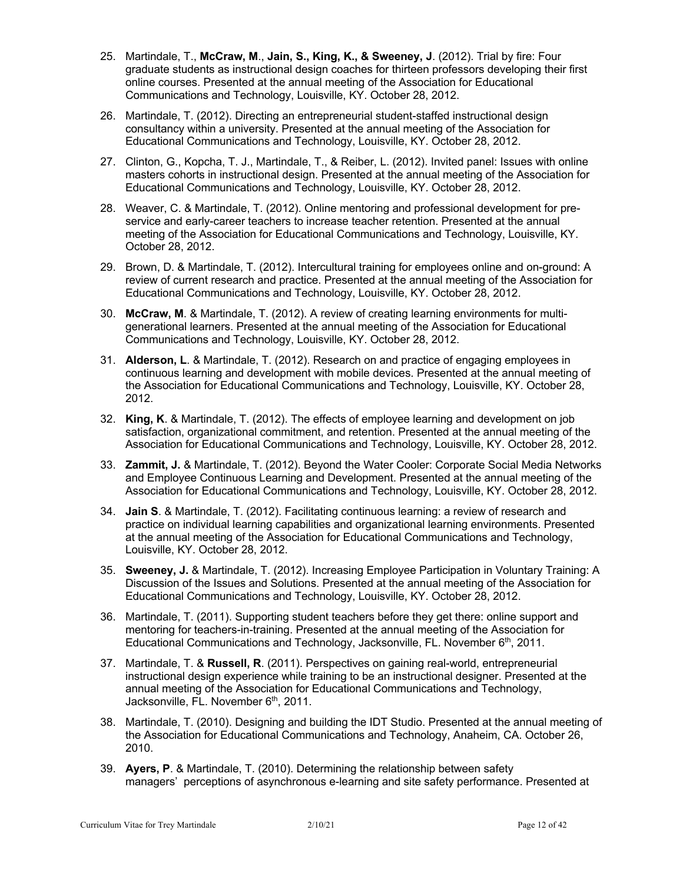- 25. Martindale, T., **McCraw, M**., **Jain, S., King, K., & Sweeney, J**. (2012). Trial by fire: Four graduate students as instructional design coaches for thirteen professors developing their first online courses. Presented at the annual meeting of the Association for Educational Communications and Technology, Louisville, KY. October 28, 2012.
- 26. Martindale, T. (2012). Directing an entrepreneurial student-staffed instructional design consultancy within a university. Presented at the annual meeting of the Association for Educational Communications and Technology, Louisville, KY. October 28, 2012.
- 27. Clinton, G., Kopcha, T. J., Martindale, T., & Reiber, L. (2012). Invited panel: Issues with online masters cohorts in instructional design. Presented at the annual meeting of the Association for Educational Communications and Technology, Louisville, KY. October 28, 2012.
- 28. Weaver, C. & Martindale, T. (2012). Online mentoring and professional development for preservice and early-career teachers to increase teacher retention. Presented at the annual meeting of the Association for Educational Communications and Technology, Louisville, KY. October 28, 2012.
- 29. Brown, D. & Martindale, T. (2012). Intercultural training for employees online and on-ground: A review of current research and practice. Presented at the annual meeting of the Association for Educational Communications and Technology, Louisville, KY. October 28, 2012.
- 30. **McCraw, M**. & Martindale, T. (2012). A review of creating learning environments for multigenerational learners. Presented at the annual meeting of the Association for Educational Communications and Technology, Louisville, KY. October 28, 2012.
- 31. **Alderson, L**. & Martindale, T. (2012). Research on and practice of engaging employees in continuous learning and development with mobile devices. Presented at the annual meeting of the Association for Educational Communications and Technology, Louisville, KY. October 28, 2012.
- 32. **King, K**. & Martindale, T. (2012). The effects of employee learning and development on job satisfaction, organizational commitment, and retention. Presented at the annual meeting of the Association for Educational Communications and Technology, Louisville, KY. October 28, 2012.
- 33. **Zammit, J.** & Martindale, T. (2012). Beyond the Water Cooler: Corporate Social Media Networks and Employee Continuous Learning and Development. Presented at the annual meeting of the Association for Educational Communications and Technology, Louisville, KY. October 28, 2012.
- 34. **Jain S**. & Martindale, T. (2012). Facilitating continuous learning: a review of research and practice on individual learning capabilities and organizational learning environments. Presented at the annual meeting of the Association for Educational Communications and Technology, Louisville, KY. October 28, 2012.
- 35. **Sweeney, J.** & Martindale, T. (2012). Increasing Employee Participation in Voluntary Training: A Discussion of the Issues and Solutions. Presented at the annual meeting of the Association for Educational Communications and Technology, Louisville, KY. October 28, 2012.
- 36. Martindale, T. (2011). Supporting student teachers before they get there: online support and mentoring for teachers-in-training. Presented at the annual meeting of the Association for Educational Communications and Technology, Jacksonville, FL. November 6<sup>th</sup>, 2011.
- 37. Martindale, T. & **Russell, R**. (2011). Perspectives on gaining real-world, entrepreneurial instructional design experience while training to be an instructional designer. Presented at the annual meeting of the Association for Educational Communications and Technology, Jacksonville, FL. November 6<sup>th</sup>, 2011.
- 38. Martindale, T. (2010). Designing and building the IDT Studio. Presented at the annual meeting of the Association for Educational Communications and Technology, Anaheim, CA. October 26, 2010.
- 39. **Ayers, P**. & Martindale, T. (2010). Determining the relationship between safety managers' perceptions of asynchronous e-learning and site safety performance. Presented at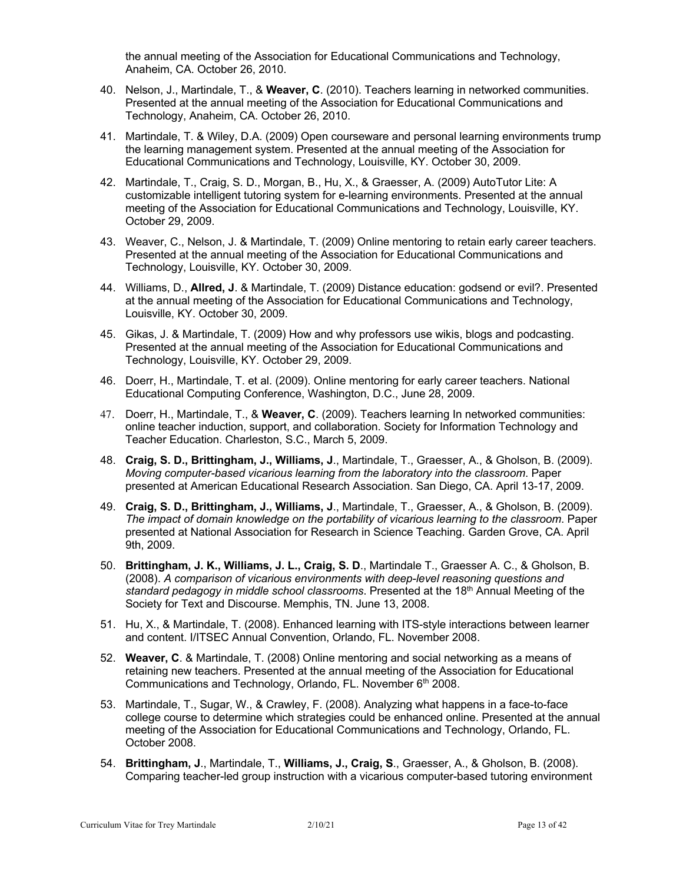the annual meeting of the Association for Educational Communications and Technology, Anaheim, CA. October 26, 2010.

- 40. Nelson, J., Martindale, T., & **Weaver, C**. (2010). Teachers learning in networked communities. Presented at the annual meeting of the Association for Educational Communications and Technology, Anaheim, CA. October 26, 2010.
- 41. Martindale, T. & Wiley, D.A. (2009) Open courseware and personal learning environments trump the learning management system. Presented at the annual meeting of the Association for Educational Communications and Technology, Louisville, KY. October 30, 2009.
- 42. Martindale, T., Craig, S. D., Morgan, B., Hu, X., & Graesser, A. (2009) AutoTutor Lite: A customizable intelligent tutoring system for e-learning environments. Presented at the annual meeting of the Association for Educational Communications and Technology, Louisville, KY. October 29, 2009.
- 43. Weaver, C., Nelson, J. & Martindale, T. (2009) Online mentoring to retain early career teachers. Presented at the annual meeting of the Association for Educational Communications and Technology, Louisville, KY. October 30, 2009.
- 44. Williams, D., **Allred, J**. & Martindale, T. (2009) Distance education: godsend or evil?. Presented at the annual meeting of the Association for Educational Communications and Technology, Louisville, KY. October 30, 2009.
- 45. Gikas, J. & Martindale, T. (2009) How and why professors use wikis, blogs and podcasting. Presented at the annual meeting of the Association for Educational Communications and Technology, Louisville, KY. October 29, 2009.
- 46. Doerr, H., Martindale, T. et al. (2009). Online mentoring for early career teachers. National Educational Computing Conference, Washington, D.C., June 28, 2009.
- 47. Doerr, H., Martindale, T., & **Weaver, C**. (2009). Teachers learning In networked communities: online teacher induction, support, and collaboration. Society for Information Technology and Teacher Education. Charleston, S.C., March 5, 2009.
- 48. **Craig, S. D., Brittingham, J., Williams, J**., Martindale, T., Graesser, A., & Gholson, B. (2009). *Moving computer-based vicarious learning from the laboratory into the classroom*. Paper presented at American Educational Research Association. San Diego, CA. April 13-17, 2009.
- 49. **Craig, S. D., Brittingham, J., Williams, J**., Martindale, T., Graesser, A., & Gholson, B. (2009). *The impact of domain knowledge on the portability of vicarious learning to the classroom*. Paper presented at National Association for Research in Science Teaching. Garden Grove, CA. April 9th, 2009.
- 50. **Brittingham, J. K., Williams, J. L., Craig, S. D**., Martindale T., Graesser A. C., & Gholson, B. (2008). *A comparison of vicarious environments with deep-level reasoning questions and standard pedagogy in middle school classrooms*. Presented at the 18th Annual Meeting of the Society for Text and Discourse. Memphis, TN. June 13, 2008.
- 51. Hu, X., & Martindale, T. (2008). Enhanced learning with ITS-style interactions between learner and content. I/ITSEC Annual Convention, Orlando, FL. November 2008.
- 52. **Weaver, C**. & Martindale, T. (2008) Online mentoring and social networking as a means of retaining new teachers. Presented at the annual meeting of the Association for Educational Communications and Technology, Orlando, FL. November 6<sup>th</sup> 2008.
- 53. Martindale, T., Sugar, W., & Crawley, F. (2008). Analyzing what happens in a face-to-face college course to determine which strategies could be enhanced online. Presented at the annual meeting of the Association for Educational Communications and Technology, Orlando, FL. October 2008.
- 54. **Brittingham, J**., Martindale, T., **Williams, J., Craig, S**., Graesser, A., & Gholson, B. (2008). Comparing teacher-led group instruction with a vicarious computer-based tutoring environment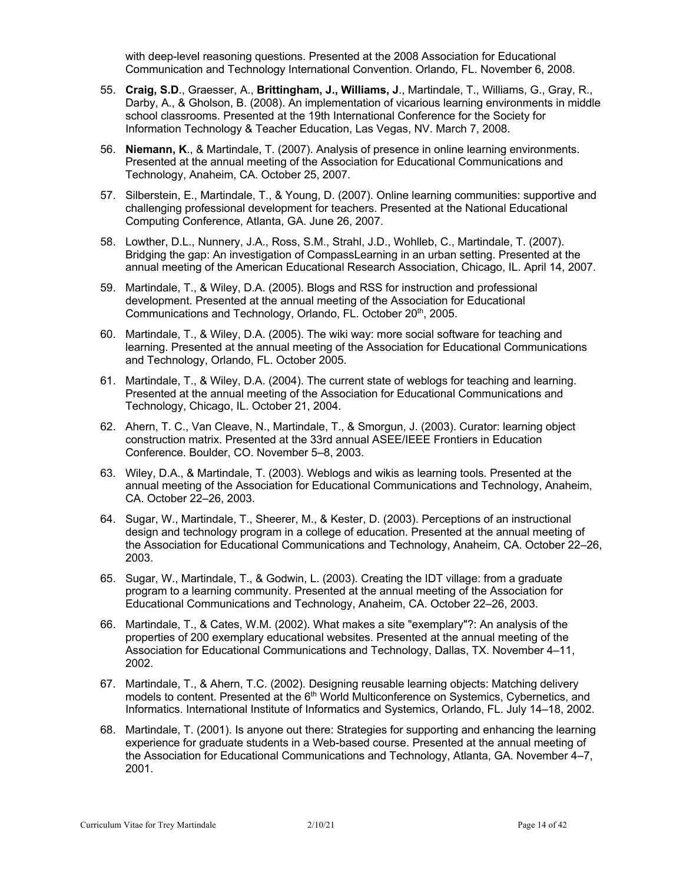with deep-level reasoning questions. Presented at the 2008 Association for Educational Communication and Technology International Convention. Orlando, FL. November 6, 2008.

- 55. **Craig, S.D**., Graesser, A., **Brittingham, J., Williams, J**., Martindale, T., Williams, G., Gray, R., Darby, A., & Gholson, B. (2008). An implementation of vicarious learning environments in middle school classrooms. Presented at the 19th International Conference for the Society for Information Technology & Teacher Education, Las Vegas, NV. March 7, 2008.
- 56. **Niemann, K**., & Martindale, T. (2007). Analysis of presence in online learning environments. Presented at the annual meeting of the Association for Educational Communications and Technology, Anaheim, CA. October 25, 2007.
- 57. Silberstein, E., Martindale, T., & Young, D. (2007). Online learning communities: supportive and challenging professional development for teachers. Presented at the National Educational Computing Conference, Atlanta, GA. June 26, 2007.
- 58. Lowther, D.L., Nunnery, J.A., Ross, S.M., Strahl, J.D., Wohlleb, C., Martindale, T. (2007). Bridging the gap: An investigation of CompassLearning in an urban setting. Presented at the annual meeting of the American Educational Research Association, Chicago, IL. April 14, 2007.
- 59. Martindale, T., & Wiley, D.A. (2005). Blogs and RSS for instruction and professional development. Presented at the annual meeting of the Association for Educational Communications and Technology, Orlando, FL. October 20<sup>th</sup>, 2005.
- 60. Martindale, T., & Wiley, D.A. (2005). The wiki way: more social software for teaching and learning. Presented at the annual meeting of the Association for Educational Communications and Technology, Orlando, FL. October 2005.
- 61. Martindale, T., & Wiley, D.A. (2004). The current state of weblogs for teaching and learning. Presented at the annual meeting of the Association for Educational Communications and Technology, Chicago, IL. October 21, 2004.
- 62. Ahern, T. C., Van Cleave, N., Martindale, T., & Smorgun, J. (2003). Curator: learning object construction matrix. Presented at the 33rd annual ASEE/IEEE Frontiers in Education Conference. Boulder, CO. November 5–8, 2003.
- 63. Wiley, D.A., & Martindale, T. (2003). Weblogs and wikis as learning tools. Presented at the annual meeting of the Association for Educational Communications and Technology, Anaheim, CA. October 22–26, 2003.
- 64. Sugar, W., Martindale, T., Sheerer, M., & Kester, D. (2003). Perceptions of an instructional design and technology program in a college of education. Presented at the annual meeting of the Association for Educational Communications and Technology, Anaheim, CA. October 22–26, 2003.
- 65. Sugar, W., Martindale, T., & Godwin, L. (2003). Creating the IDT village: from a graduate program to a learning community. Presented at the annual meeting of the Association for Educational Communications and Technology, Anaheim, CA. October 22–26, 2003.
- 66. Martindale, T., & Cates, W.M. (2002). What makes a site "exemplary"?: An analysis of the properties of 200 exemplary educational websites. Presented at the annual meeting of the Association for Educational Communications and Technology, Dallas, TX. November 4–11, 2002.
- 67. Martindale, T., & Ahern, T.C. (2002). Designing reusable learning objects: Matching delivery models to content. Presented at the 6<sup>th</sup> World Multiconference on Systemics, Cybernetics, and Informatics. International Institute of Informatics and Systemics, Orlando, FL. July 14–18, 2002.
- 68. Martindale, T. (2001). Is anyone out there: Strategies for supporting and enhancing the learning experience for graduate students in a Web-based course. Presented at the annual meeting of the Association for Educational Communications and Technology, Atlanta, GA. November 4–7, 2001.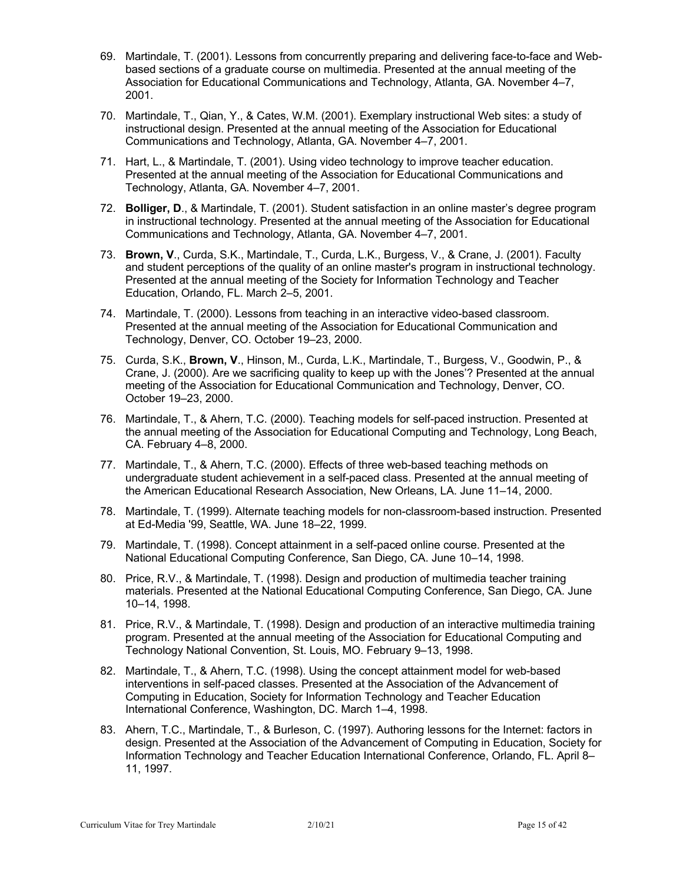- 69. Martindale, T. (2001). Lessons from concurrently preparing and delivering face-to-face and Webbased sections of a graduate course on multimedia. Presented at the annual meeting of the Association for Educational Communications and Technology, Atlanta, GA. November 4–7, 2001.
- 70. Martindale, T., Qian, Y., & Cates, W.M. (2001). Exemplary instructional Web sites: a study of instructional design. Presented at the annual meeting of the Association for Educational Communications and Technology, Atlanta, GA. November 4–7, 2001.
- 71. Hart, L., & Martindale, T. (2001). Using video technology to improve teacher education. Presented at the annual meeting of the Association for Educational Communications and Technology, Atlanta, GA. November 4–7, 2001.
- 72. **Bolliger, D**., & Martindale, T. (2001). Student satisfaction in an online master's degree program in instructional technology. Presented at the annual meeting of the Association for Educational Communications and Technology, Atlanta, GA. November 4–7, 2001.
- 73. **Brown, V**., Curda, S.K., Martindale, T., Curda, L.K., Burgess, V., & Crane, J. (2001). Faculty and student perceptions of the quality of an online master's program in instructional technology. Presented at the annual meeting of the Society for Information Technology and Teacher Education, Orlando, FL. March 2–5, 2001.
- 74. Martindale, T. (2000). Lessons from teaching in an interactive video-based classroom. Presented at the annual meeting of the Association for Educational Communication and Technology, Denver, CO. October 19–23, 2000.
- 75. Curda, S.K., **Brown, V**., Hinson, M., Curda, L.K., Martindale, T., Burgess, V., Goodwin, P., & Crane, J. (2000). Are we sacrificing quality to keep up with the Jones'? Presented at the annual meeting of the Association for Educational Communication and Technology, Denver, CO. October 19–23, 2000.
- 76. Martindale, T., & Ahern, T.C. (2000). Teaching models for self-paced instruction. Presented at the annual meeting of the Association for Educational Computing and Technology, Long Beach, CA. February 4–8, 2000.
- 77. Martindale, T., & Ahern, T.C. (2000). Effects of three web-based teaching methods on undergraduate student achievement in a self-paced class. Presented at the annual meeting of the American Educational Research Association, New Orleans, LA. June 11–14, 2000.
- 78. Martindale, T. (1999). Alternate teaching models for non-classroom-based instruction. Presented at Ed-Media '99, Seattle, WA. June 18–22, 1999.
- 79. Martindale, T. (1998). Concept attainment in a self-paced online course. Presented at the National Educational Computing Conference, San Diego, CA. June 10–14, 1998.
- 80. Price, R.V., & Martindale, T. (1998). Design and production of multimedia teacher training materials. Presented at the National Educational Computing Conference, San Diego, CA. June 10–14, 1998.
- 81. Price, R.V., & Martindale, T. (1998). Design and production of an interactive multimedia training program. Presented at the annual meeting of the Association for Educational Computing and Technology National Convention, St. Louis, MO. February 9–13, 1998.
- 82. Martindale, T., & Ahern, T.C. (1998). Using the concept attainment model for web-based interventions in self-paced classes. Presented at the Association of the Advancement of Computing in Education, Society for Information Technology and Teacher Education International Conference, Washington, DC. March 1–4, 1998.
- 83. Ahern, T.C., Martindale, T., & Burleson, C. (1997). Authoring lessons for the Internet: factors in design. Presented at the Association of the Advancement of Computing in Education, Society for Information Technology and Teacher Education International Conference, Orlando, FL. April 8– 11, 1997.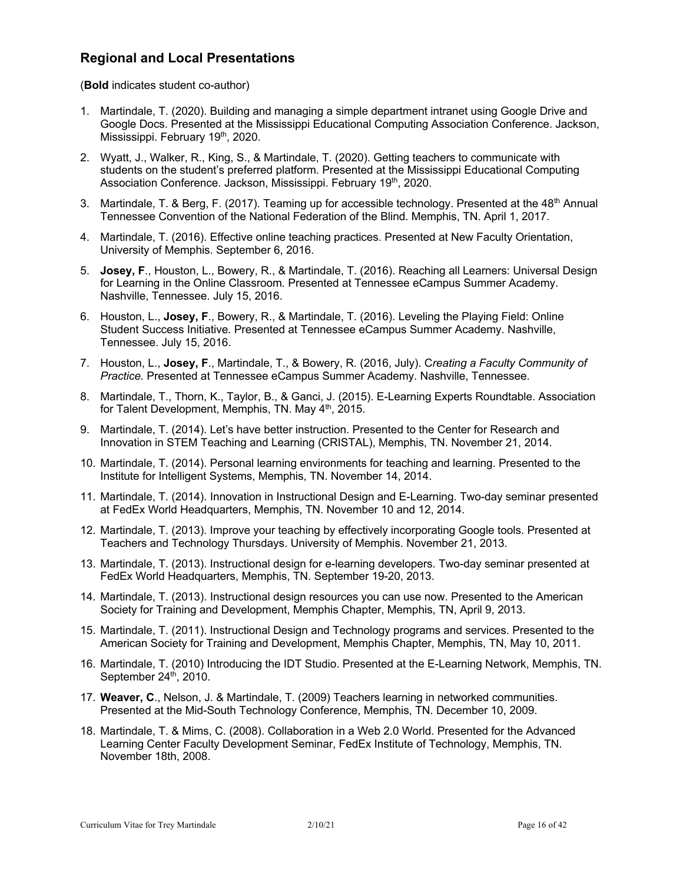### **Regional and Local Presentations**

(**Bold** indicates student co-author)

- 1. Martindale, T. (2020). Building and managing a simple department intranet using Google Drive and Google Docs. Presented at the Mississippi Educational Computing Association Conference. Jackson, Mississippi. February 19<sup>th</sup>, 2020.
- 2. Wyatt, J., Walker, R., King, S., & Martindale, T. (2020). Getting teachers to communicate with students on the student's preferred platform. Presented at the Mississippi Educational Computing Association Conference. Jackson, Mississippi. February 19<sup>th</sup>, 2020.
- 3. Martindale, T. & Berg, F. (2017). Teaming up for accessible technology. Presented at the 48<sup>th</sup> Annual Tennessee Convention of the National Federation of the Blind. Memphis, TN. April 1, 2017.
- 4. Martindale, T. (2016). Effective online teaching practices. Presented at New Faculty Orientation, University of Memphis. September 6, 2016.
- 5. **Josey, F**., Houston, L., Bowery, R., & Martindale, T. (2016). Reaching all Learners: Universal Design for Learning in the Online Classroom*.* Presented at Tennessee eCampus Summer Academy. Nashville, Tennessee. July 15, 2016.
- 6. Houston, L., **Josey, F**., Bowery, R., & Martindale, T. (2016). Leveling the Playing Field: Online Student Success Initiative*.* Presented at Tennessee eCampus Summer Academy. Nashville, Tennessee. July 15, 2016.
- 7. Houston, L., **Josey, F**., Martindale, T., & Bowery, R. (2016, July). C*reating a Faculty Community of Practice.* Presented at Tennessee eCampus Summer Academy. Nashville, Tennessee.
- 8. Martindale, T., Thorn, K., Taylor, B., & Ganci, J. (2015). E-Learning Experts Roundtable. Association for Talent Development, Memphis, TN. May 4<sup>th</sup>, 2015.
- 9. Martindale, T. (2014). Let's have better instruction. Presented to the Center for Research and Innovation in STEM Teaching and Learning (CRISTAL), Memphis, TN. November 21, 2014.
- 10. Martindale, T. (2014). Personal learning environments for teaching and learning. Presented to the Institute for Intelligent Systems, Memphis, TN. November 14, 2014.
- 11. Martindale, T. (2014). Innovation in Instructional Design and E-Learning. Two-day seminar presented at FedEx World Headquarters, Memphis, TN. November 10 and 12, 2014.
- 12. Martindale, T. (2013). Improve your teaching by effectively incorporating Google tools. Presented at Teachers and Technology Thursdays. University of Memphis. November 21, 2013.
- 13. Martindale, T. (2013). Instructional design for e-learning developers. Two-day seminar presented at FedEx World Headquarters, Memphis, TN. September 19-20, 2013.
- 14. Martindale, T. (2013). Instructional design resources you can use now. Presented to the American Society for Training and Development, Memphis Chapter, Memphis, TN, April 9, 2013.
- 15. Martindale, T. (2011). Instructional Design and Technology programs and services. Presented to the American Society for Training and Development, Memphis Chapter, Memphis, TN, May 10, 2011.
- 16. Martindale, T. (2010) Introducing the IDT Studio. Presented at the E-Learning Network, Memphis, TN. September 24<sup>th</sup>, 2010.
- 17. **Weaver, C**., Nelson, J. & Martindale, T. (2009) Teachers learning in networked communities. Presented at the Mid-South Technology Conference, Memphis, TN. December 10, 2009.
- 18. Martindale, T. & Mims, C. (2008). Collaboration in a Web 2.0 World. Presented for the Advanced Learning Center Faculty Development Seminar, FedEx Institute of Technology, Memphis, TN. November 18th, 2008.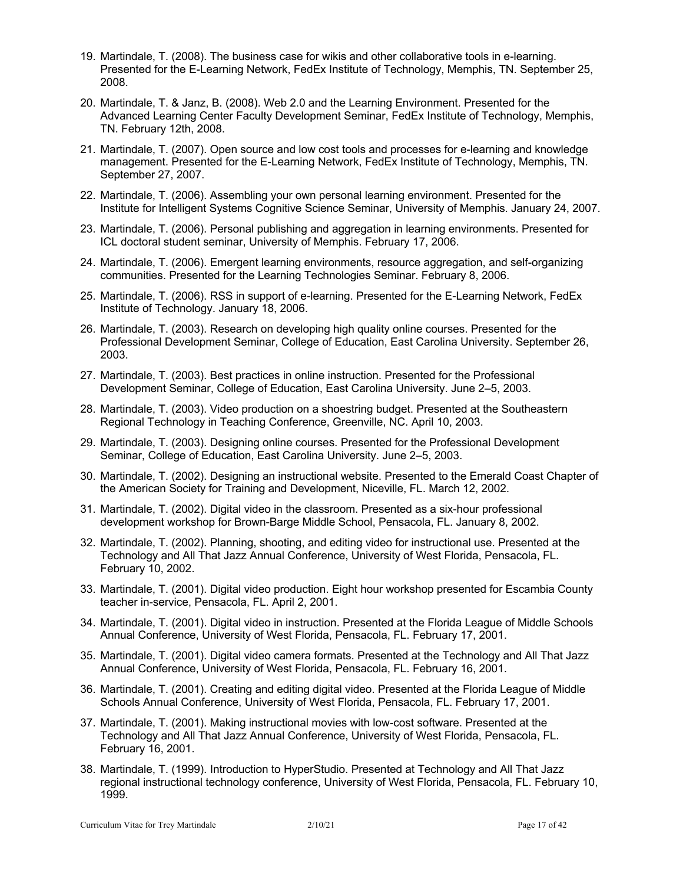- 19. Martindale, T. (2008). The business case for wikis and other collaborative tools in e-learning. Presented for the E-Learning Network, FedEx Institute of Technology, Memphis, TN. September 25, 2008.
- 20. Martindale, T. & Janz, B. (2008). Web 2.0 and the Learning Environment. Presented for the Advanced Learning Center Faculty Development Seminar, FedEx Institute of Technology, Memphis, TN. February 12th, 2008.
- 21. Martindale, T. (2007). Open source and low cost tools and processes for e-learning and knowledge management. Presented for the E-Learning Network, FedEx Institute of Technology, Memphis, TN. September 27, 2007.
- 22. Martindale, T. (2006). Assembling your own personal learning environment. Presented for the Institute for Intelligent Systems Cognitive Science Seminar, University of Memphis. January 24, 2007.
- 23. Martindale, T. (2006). Personal publishing and aggregation in learning environments. Presented for ICL doctoral student seminar, University of Memphis. February 17, 2006.
- 24. Martindale, T. (2006). Emergent learning environments, resource aggregation, and self-organizing communities. Presented for the Learning Technologies Seminar. February 8, 2006.
- 25. Martindale, T. (2006). RSS in support of e-learning. Presented for the E-Learning Network, FedEx Institute of Technology. January 18, 2006.
- 26. Martindale, T. (2003). Research on developing high quality online courses. Presented for the Professional Development Seminar, College of Education, East Carolina University. September 26, 2003.
- 27. Martindale, T. (2003). Best practices in online instruction. Presented for the Professional Development Seminar, College of Education, East Carolina University. June 2–5, 2003.
- 28. Martindale, T. (2003). Video production on a shoestring budget. Presented at the Southeastern Regional Technology in Teaching Conference, Greenville, NC. April 10, 2003.
- 29. Martindale, T. (2003). Designing online courses. Presented for the Professional Development Seminar, College of Education, East Carolina University. June 2–5, 2003.
- 30. Martindale, T. (2002). Designing an instructional website. Presented to the Emerald Coast Chapter of the American Society for Training and Development, Niceville, FL. March 12, 2002.
- 31. Martindale, T. (2002). Digital video in the classroom. Presented as a six-hour professional development workshop for Brown-Barge Middle School, Pensacola, FL. January 8, 2002.
- 32. Martindale, T. (2002). Planning, shooting, and editing video for instructional use. Presented at the Technology and All That Jazz Annual Conference, University of West Florida, Pensacola, FL. February 10, 2002.
- 33. Martindale, T. (2001). Digital video production. Eight hour workshop presented for Escambia County teacher in-service, Pensacola, FL. April 2, 2001.
- 34. Martindale, T. (2001). Digital video in instruction. Presented at the Florida League of Middle Schools Annual Conference, University of West Florida, Pensacola, FL. February 17, 2001.
- 35. Martindale, T. (2001). Digital video camera formats. Presented at the Technology and All That Jazz Annual Conference, University of West Florida, Pensacola, FL. February 16, 2001.
- 36. Martindale, T. (2001). Creating and editing digital video. Presented at the Florida League of Middle Schools Annual Conference, University of West Florida, Pensacola, FL. February 17, 2001.
- 37. Martindale, T. (2001). Making instructional movies with low-cost software. Presented at the Technology and All That Jazz Annual Conference, University of West Florida, Pensacola, FL. February 16, 2001.
- 38. Martindale, T. (1999). Introduction to HyperStudio. Presented at Technology and All That Jazz regional instructional technology conference, University of West Florida, Pensacola, FL. February 10, 1999.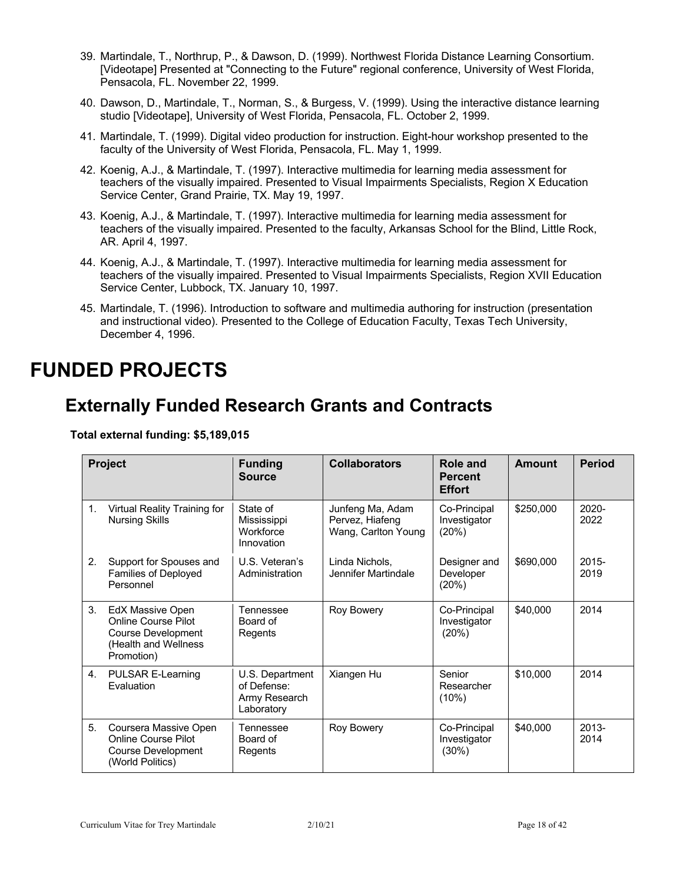- 39. Martindale, T., Northrup, P., & Dawson, D. (1999). Northwest Florida Distance Learning Consortium. [Videotape] Presented at "Connecting to the Future" regional conference, University of West Florida, Pensacola, FL. November 22, 1999.
- 40. Dawson, D., Martindale, T., Norman, S., & Burgess, V. (1999). Using the interactive distance learning studio [Videotape], University of West Florida, Pensacola, FL. October 2, 1999.
- 41. Martindale, T. (1999). Digital video production for instruction. Eight-hour workshop presented to the faculty of the University of West Florida, Pensacola, FL. May 1, 1999.
- 42. Koenig, A.J., & Martindale, T. (1997). Interactive multimedia for learning media assessment for teachers of the visually impaired. Presented to Visual Impairments Specialists, Region X Education Service Center, Grand Prairie, TX. May 19, 1997.
- 43. Koenig, A.J., & Martindale, T. (1997). Interactive multimedia for learning media assessment for teachers of the visually impaired. Presented to the faculty, Arkansas School for the Blind, Little Rock, AR. April 4, 1997.
- 44. Koenig, A.J., & Martindale, T. (1997). Interactive multimedia for learning media assessment for teachers of the visually impaired. Presented to Visual Impairments Specialists, Region XVII Education Service Center, Lubbock, TX. January 10, 1997.
- 45. Martindale, T. (1996). Introduction to software and multimedia authoring for instruction (presentation and instructional video). Presented to the College of Education Faculty, Texas Tech University, December 4, 1996.

# **FUNDED PROJECTS**

## **Externally Funded Research Grants and Contracts**

**Total external funding: \$5,189,015**

|    | Project                                                                                                    | <b>Funding</b><br><b>Source</b>                               | <b>Collaborators</b>                                       | Role and<br><b>Percent</b><br><b>Effort</b> | Amount    | <b>Period</b> |
|----|------------------------------------------------------------------------------------------------------------|---------------------------------------------------------------|------------------------------------------------------------|---------------------------------------------|-----------|---------------|
| 1. | Virtual Reality Training for<br><b>Nursing Skills</b>                                                      | State of<br>Mississippi<br>Workforce<br>Innovation            | Junfeng Ma, Adam<br>Pervez, Hiafeng<br>Wang, Carlton Young | Co-Principal<br>Investigator<br>(20%)       | \$250,000 | 2020-<br>2022 |
| 2. | Support for Spouses and<br><b>Families of Deployed</b><br>Personnel                                        | U.S. Veteran's<br>Administration                              | Linda Nichols,<br>Jennifer Martindale                      | Designer and<br>Developer<br>(20%)          | \$690,000 | 2015-<br>2019 |
| 3. | EdX Massive Open<br><b>Online Course Pilot</b><br>Course Development<br>(Health and Wellness<br>Promotion) | Tennessee<br>Board of<br>Regents                              | Roy Bowery                                                 | Co-Principal<br>Investigator<br>(20%)       | \$40,000  | 2014          |
| 4. | PULSAR E-Learning<br>Evaluation                                                                            | U.S. Department<br>of Defense:<br>Army Research<br>Laboratory | Xiangen Hu                                                 | Senior<br>Researcher<br>(10%)               | \$10,000  | 2014          |
| 5. | Coursera Massive Open<br><b>Online Course Pilot</b><br><b>Course Development</b><br>(World Politics)       | Tennessee<br>Board of<br>Regents                              | <b>Roy Bowery</b>                                          | Co-Principal<br>Investigator<br>$(30\%)$    | \$40,000  | 2013-<br>2014 |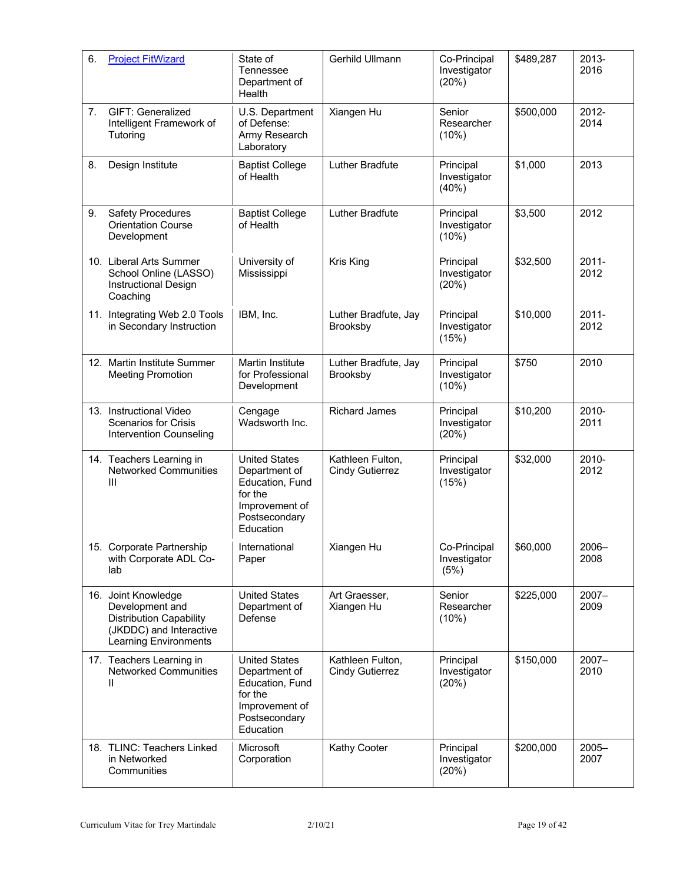| 6. | <b>Project FitWizard</b>                                                                                                            | State of<br>Tennessee<br>Department of<br>Health                                                                    | Gerhild Ullmann                            | Co-Principal<br>Investigator<br>(20%) | \$489,287 | 2013-<br>2016    |
|----|-------------------------------------------------------------------------------------------------------------------------------------|---------------------------------------------------------------------------------------------------------------------|--------------------------------------------|---------------------------------------|-----------|------------------|
| 7. | GIFT: Generalized<br>Intelligent Framework of<br>Tutoring                                                                           | U.S. Department<br>of Defense:<br>Army Research<br>Laboratory                                                       | Xiangen Hu                                 | Senior<br>Researcher<br>(10%)         | \$500,000 | 2012-<br>2014    |
| 8. | Design Institute                                                                                                                    | <b>Baptist College</b><br>of Health                                                                                 | Luther Bradfute                            | Principal<br>Investigator<br>(40%)    | \$1,000   | 2013             |
| 9. | <b>Safety Procedures</b><br><b>Orientation Course</b><br>Development                                                                | <b>Baptist College</b><br>of Health                                                                                 | Luther Bradfute                            | Principal<br>Investigator<br>(10%)    | \$3,500   | 2012             |
|    | 10. Liberal Arts Summer<br>School Online (LASSO)<br><b>Instructional Design</b><br>Coaching                                         | University of<br>Mississippi                                                                                        | Kris King                                  | Principal<br>Investigator<br>(20%)    | \$32,500  | $2011 -$<br>2012 |
|    | 11. Integrating Web 2.0 Tools<br>in Secondary Instruction                                                                           | IBM, Inc.                                                                                                           | Luther Bradfute, Jay<br>Brooksby           | Principal<br>Investigator<br>(15%)    | \$10,000  | $2011 -$<br>2012 |
|    | 12. Martin Institute Summer<br><b>Meeting Promotion</b>                                                                             | <b>Martin Institute</b><br>for Professional<br>Development                                                          | Luther Bradfute, Jay<br>Brooksby           | Principal<br>Investigator<br>(10%)    | \$750     | 2010             |
|    | 13. Instructional Video<br><b>Scenarios for Crisis</b><br>Intervention Counseling                                                   | Cengage<br>Wadsworth Inc.                                                                                           | <b>Richard James</b>                       | Principal<br>Investigator<br>(20%)    | \$10,200  | 2010-<br>2011    |
|    | 14. Teachers Learning in<br><b>Networked Communities</b><br>Ш                                                                       | <b>United States</b><br>Department of<br>Education, Fund<br>for the<br>Improvement of<br>Postsecondary<br>Education | Kathleen Fulton,<br><b>Cindy Gutierrez</b> | Principal<br>Investigator<br>(15%)    | \$32,000  | 2010-<br>2012    |
|    | 15. Corporate Partnership<br>with Corporate ADL Co-<br>lab                                                                          | International<br>Paper                                                                                              | Xiangen Hu                                 | Co-Principal<br>Investigator<br>(5%)  | \$60,000  | $2006 -$<br>2008 |
|    | 16. Joint Knowledge<br>Development and<br><b>Distribution Capability</b><br>(JKDDC) and Interactive<br><b>Learning Environments</b> | <b>United States</b><br>Department of<br>Defense                                                                    | Art Graesser,<br>Xiangen Hu                | Senior<br>Researcher<br>(10%)         | \$225,000 | $2007 -$<br>2009 |
|    | 17. Teachers Learning in<br><b>Networked Communities</b><br>Ш                                                                       | <b>United States</b><br>Department of<br>Education, Fund<br>for the<br>Improvement of<br>Postsecondary<br>Education | Kathleen Fulton,<br><b>Cindy Gutierrez</b> | Principal<br>Investigator<br>(20%)    | \$150,000 | $2007 -$<br>2010 |
|    | 18. TLINC: Teachers Linked<br>in Networked<br>Communities                                                                           | Microsoft<br>Corporation                                                                                            | Kathy Cooter                               | Principal<br>Investigator<br>(20%)    | \$200,000 | $2005 -$<br>2007 |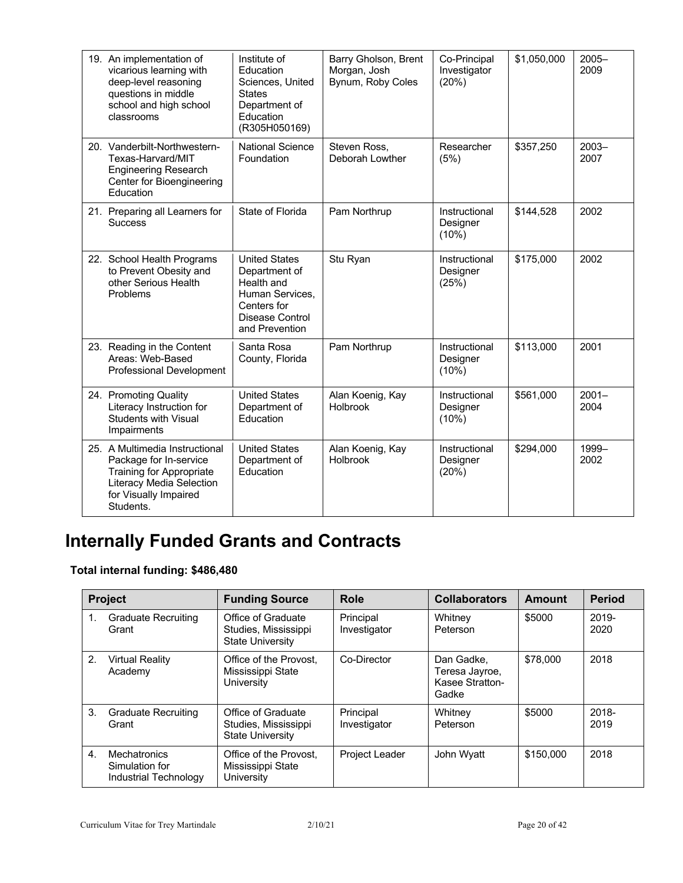| 19. An implementation of<br>vicarious learning with<br>deep-level reasoning<br>questions in middle<br>school and high school<br>classrooms                    | Institute of<br>Education<br>Sciences, United<br><b>States</b><br>Department of<br>Education<br>(R305H050169)              | Barry Gholson, Brent<br>Morgan, Josh<br>Bynum, Roby Coles | Co-Principal<br>Investigator<br>(20%) | \$1,050,000 | $2005 -$<br>2009 |
|---------------------------------------------------------------------------------------------------------------------------------------------------------------|----------------------------------------------------------------------------------------------------------------------------|-----------------------------------------------------------|---------------------------------------|-------------|------------------|
| 20. Vanderbilt-Northwestern-<br>Texas-Harvard/MIT<br><b>Engineering Research</b><br>Center for Bioengineering<br>Education                                    | <b>National Science</b><br>Foundation                                                                                      | Steven Ross,<br>Deborah Lowther                           | Researcher<br>(5%)                    | \$357,250   | $2003 -$<br>2007 |
| 21. Preparing all Learners for<br><b>Success</b>                                                                                                              | State of Florida                                                                                                           | Pam Northrup                                              | Instructional<br>Designer<br>(10%)    | \$144,528   | 2002             |
| 22. School Health Programs<br>to Prevent Obesity and<br>other Serious Health<br>Problems                                                                      | <b>United States</b><br>Department of<br>Health and<br>Human Services.<br>Centers for<br>Disease Control<br>and Prevention | Stu Ryan                                                  | Instructional<br>Designer<br>(25%)    | \$175,000   | 2002             |
| 23. Reading in the Content<br>Areas: Web-Based<br>Professional Development                                                                                    | Santa Rosa<br>County, Florida                                                                                              | Pam Northrup                                              | Instructional<br>Designer<br>(10%)    | \$113,000   | 2001             |
| 24. Promoting Quality<br>Literacy Instruction for<br><b>Students with Visual</b><br>Impairments                                                               | <b>United States</b><br>Department of<br>Education                                                                         | Alan Koenig, Kay<br>Holbrook                              | Instructional<br>Designer<br>(10%)    | \$561,000   | $2001 -$<br>2004 |
| 25. A Multimedia Instructional<br>Package for In-service<br><b>Training for Appropriate</b><br>Literacy Media Selection<br>for Visually Impaired<br>Students. | <b>United States</b><br>Department of<br>Education                                                                         | Alan Koenig, Kay<br>Holbrook                              | Instructional<br>Designer<br>(20%)    | \$294,000   | 1999-<br>2002    |

# **Internally Funded Grants and Contracts**

### **Total internal funding: \$486,480**

|    | <b>Project</b>                                          | <b>Funding Source</b>                                                 | Role                      | <b>Collaborators</b>                                     | Amount    | <b>Period</b> |
|----|---------------------------------------------------------|-----------------------------------------------------------------------|---------------------------|----------------------------------------------------------|-----------|---------------|
|    | <b>Graduate Recruiting</b><br>Grant                     | Office of Graduate<br>Studies, Mississippi<br><b>State University</b> | Principal<br>Investigator | Whitney<br>Peterson                                      | \$5000    | 2019-<br>2020 |
| 2. | <b>Virtual Reality</b><br>Academy                       | Office of the Provost,<br>Mississippi State<br>University             | Co-Director               | Dan Gadke,<br>Teresa Jayroe,<br>Kasee Stratton-<br>Gadke | \$78,000  | 2018          |
| 3. | <b>Graduate Recruiting</b><br>Grant                     | Office of Graduate<br>Studies, Mississippi<br><b>State University</b> | Principal<br>Investigator | Whitney<br>Peterson                                      | \$5000    | 2018-<br>2019 |
| 4. | Mechatronics<br>Simulation for<br>Industrial Technology | Office of the Provost.<br>Mississippi State<br>University             | <b>Project Leader</b>     | John Wyatt                                               | \$150,000 | 2018          |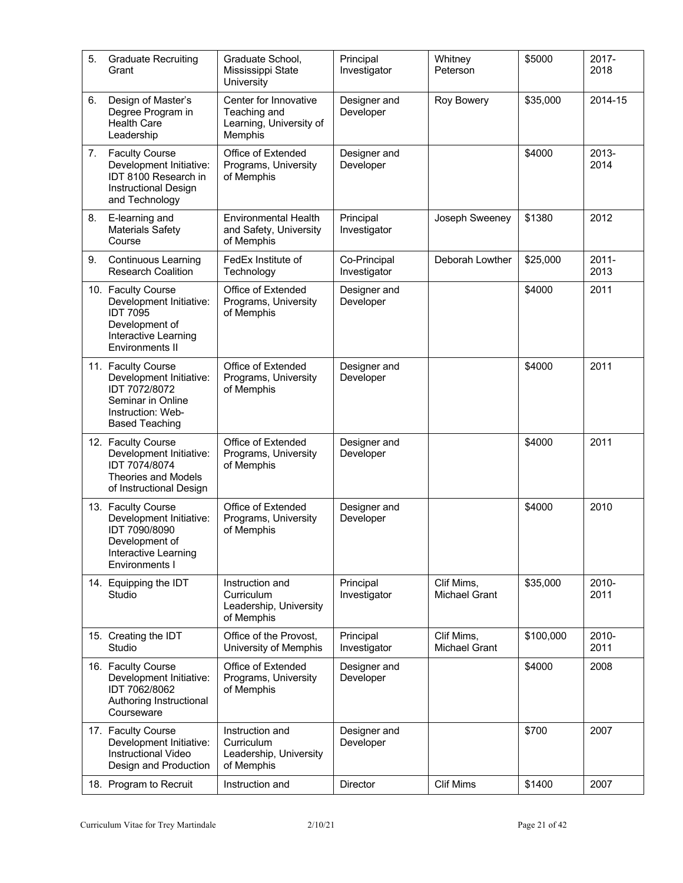| 5. | <b>Graduate Recruiting</b><br>Grant                                                                                               | Graduate School,<br>Mississippi State<br>University                         | Principal<br>Investigator    | Whitney<br>Peterson                | \$5000    | 2017-<br>2018    |
|----|-----------------------------------------------------------------------------------------------------------------------------------|-----------------------------------------------------------------------------|------------------------------|------------------------------------|-----------|------------------|
| 6. | Design of Master's<br>Degree Program in<br><b>Health Care</b><br>Leadership                                                       | Center for Innovative<br>Teaching and<br>Learning, University of<br>Memphis | Designer and<br>Developer    | <b>Roy Bowery</b>                  | \$35,000  | 2014-15          |
| 7. | <b>Faculty Course</b><br>Development Initiative:<br>IDT 8100 Research in<br><b>Instructional Design</b><br>and Technology         | Office of Extended<br>Programs, University<br>of Memphis                    | Designer and<br>Developer    |                                    | \$4000    | 2013-<br>2014    |
| 8. | E-learning and<br><b>Materials Safety</b><br>Course                                                                               | <b>Environmental Health</b><br>and Safety, University<br>of Memphis         | Principal<br>Investigator    | Joseph Sweeney                     | \$1380    | 2012             |
| 9. | Continuous Learning<br><b>Research Coalition</b>                                                                                  | FedEx Institute of<br>Technology                                            | Co-Principal<br>Investigator | Deborah Lowther                    | \$25,000  | $2011 -$<br>2013 |
|    | 10. Faculty Course<br>Development Initiative:<br><b>IDT 7095</b><br>Development of<br>Interactive Learning<br>Environments II     | Office of Extended<br>Programs, University<br>of Memphis                    | Designer and<br>Developer    |                                    | \$4000    | 2011             |
|    | 11. Faculty Course<br>Development Initiative:<br>IDT 7072/8072<br>Seminar in Online<br>Instruction: Web-<br><b>Based Teaching</b> | Office of Extended<br>Programs, University<br>of Memphis                    | Designer and<br>Developer    |                                    | \$4000    | 2011             |
|    | 12. Faculty Course<br>Development Initiative:<br>IDT 7074/8074<br><b>Theories and Models</b><br>of Instructional Design           | Office of Extended<br>Programs, University<br>of Memphis                    | Designer and<br>Developer    |                                    | \$4000    | 2011             |
|    | 13. Faculty Course<br>Development Initiative:<br>IDT 7090/8090<br>Development of<br>Interactive Learning<br>Environments I        | Office of Extended<br>Programs, University<br>of Memphis                    | Designer and<br>Developer    |                                    | \$4000    | 2010             |
|    | 14. Equipping the IDT<br>Studio                                                                                                   | Instruction and<br>Curriculum<br>Leadership, University<br>of Memphis       | Principal<br>Investigator    | Clif Mims,<br><b>Michael Grant</b> | \$35,000  | 2010-<br>2011    |
|    | 15. Creating the IDT<br>Studio                                                                                                    | Office of the Provost,<br>University of Memphis                             | Principal<br>Investigator    | Clif Mims,<br><b>Michael Grant</b> | \$100,000 | 2010-<br>2011    |
|    | 16. Faculty Course<br>Development Initiative:<br>IDT 7062/8062<br>Authoring Instructional<br>Courseware                           | Office of Extended<br>Programs, University<br>of Memphis                    | Designer and<br>Developer    |                                    | \$4000    | 2008             |
|    | 17. Faculty Course<br>Development Initiative:<br>Instructional Video<br>Design and Production                                     | Instruction and<br>Curriculum<br>Leadership, University<br>of Memphis       | Designer and<br>Developer    |                                    | \$700     | 2007             |
|    | 18. Program to Recruit                                                                                                            | Instruction and                                                             | Director                     | <b>Clif Mims</b>                   | \$1400    | 2007             |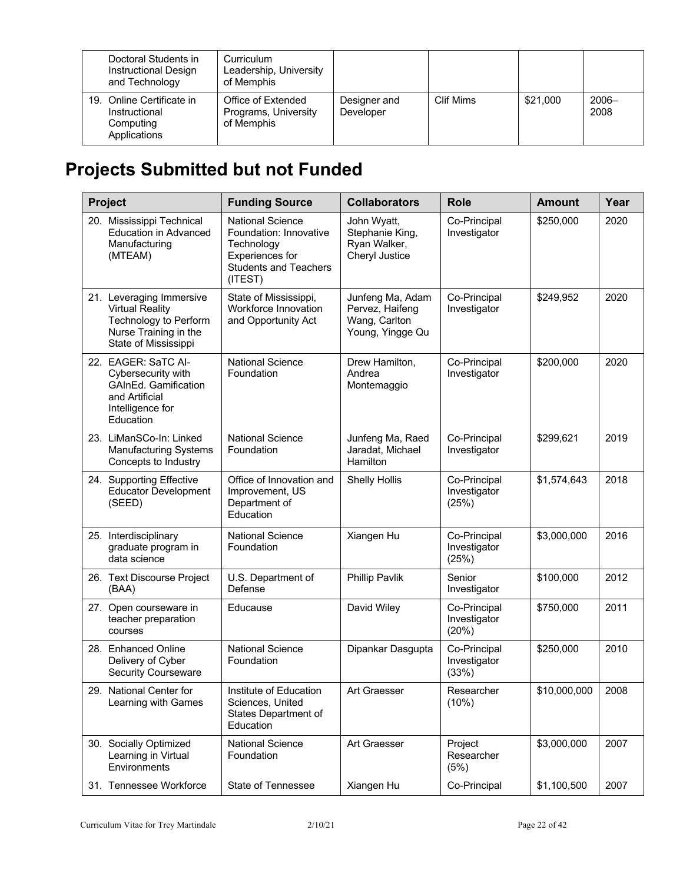| Doctoral Students in<br>Instructional Design<br>and Technology          | Curriculum<br>Leadership, University<br>of Memphis       |                           |           |          |                  |
|-------------------------------------------------------------------------|----------------------------------------------------------|---------------------------|-----------|----------|------------------|
| 19. Online Certificate in<br>Instructional<br>Computing<br>Applications | Office of Extended<br>Programs, University<br>of Memphis | Designer and<br>Developer | Clif Mims | \$21,000 | $2006 -$<br>2008 |

# **Projects Submitted but not Funded**

| Project                                                                                                                             | <b>Funding Source</b>                                                                                                         | <b>Collaborators</b>                                                     | <b>Role</b>                           | <b>Amount</b> | Year |
|-------------------------------------------------------------------------------------------------------------------------------------|-------------------------------------------------------------------------------------------------------------------------------|--------------------------------------------------------------------------|---------------------------------------|---------------|------|
| 20. Mississippi Technical<br><b>Education in Advanced</b><br>Manufacturing<br>(MTEAM)                                               | <b>National Science</b><br>Foundation: Innovative<br>Technology<br>Experiences for<br><b>Students and Teachers</b><br>(ITEST) | John Wyatt,<br>Stephanie King,<br>Ryan Walker,<br>Cheryl Justice         | Co-Principal<br>Investigator          | \$250,000     | 2020 |
| 21. Leveraging Immersive<br><b>Virtual Reality</b><br><b>Technology to Perform</b><br>Nurse Training in the<br>State of Mississippi | State of Mississippi,<br>Workforce Innovation<br>and Opportunity Act                                                          | Junfeng Ma, Adam<br>Pervez, Haifeng<br>Wang, Carlton<br>Young, Yingge Qu | Co-Principal<br>Investigator          | \$249,952     | 2020 |
| 22. EAGER: SaTC Al-<br>Cybersecurity with<br><b>GAInEd.</b> Gamification<br>and Artificial<br>Intelligence for<br>Education         | <b>National Science</b><br>Foundation                                                                                         | Drew Hamilton,<br>Andrea<br>Montemaggio                                  | Co-Principal<br>Investigator          | \$200,000     | 2020 |
| 23. LiManSCo-In: Linked<br><b>Manufacturing Systems</b><br>Concepts to Industry                                                     | <b>National Science</b><br>Foundation                                                                                         | Junfeng Ma, Raed<br>Jaradat, Michael<br>Hamilton                         | Co-Principal<br>Investigator          | \$299,621     | 2019 |
| 24. Supporting Effective<br><b>Educator Development</b><br>(SEED)                                                                   | Office of Innovation and<br>Improvement, US<br>Department of<br>Education                                                     | <b>Shelly Hollis</b>                                                     | Co-Principal<br>Investigator<br>(25%) | \$1,574,643   | 2018 |
| 25. Interdisciplinary<br>graduate program in<br>data science                                                                        | <b>National Science</b><br>Foundation                                                                                         | Xiangen Hu                                                               | Co-Principal<br>Investigator<br>(25%) | \$3,000,000   | 2016 |
| 26. Text Discourse Project<br>(BAA)                                                                                                 | U.S. Department of<br>Defense                                                                                                 | Phillip Pavlik                                                           | Senior<br>Investigator                | \$100,000     | 2012 |
| 27. Open courseware in<br>teacher preparation<br>courses                                                                            | Educause                                                                                                                      | David Wiley                                                              | Co-Principal<br>Investigator<br>(20%) | \$750,000     | 2011 |
| 28. Enhanced Online<br>Delivery of Cyber<br><b>Security Courseware</b>                                                              | <b>National Science</b><br>Foundation                                                                                         | Dipankar Dasgupta                                                        | Co-Principal<br>Investigator<br>(33%) | \$250,000     | 2010 |
| 29. National Center for<br>Learning with Games                                                                                      | Institute of Education<br>Sciences, United<br>States Department of<br>Education                                               | Art Graesser                                                             | Researcher<br>(10%)                   | \$10,000,000  | 2008 |
| 30. Socially Optimized<br>Learning in Virtual<br>Environments                                                                       | <b>National Science</b><br>Foundation                                                                                         | Art Graesser                                                             | Project<br>Researcher<br>(5%)         | \$3,000,000   | 2007 |
| 31. Tennessee Workforce                                                                                                             | State of Tennessee                                                                                                            | Xiangen Hu                                                               | Co-Principal                          | \$1,100,500   | 2007 |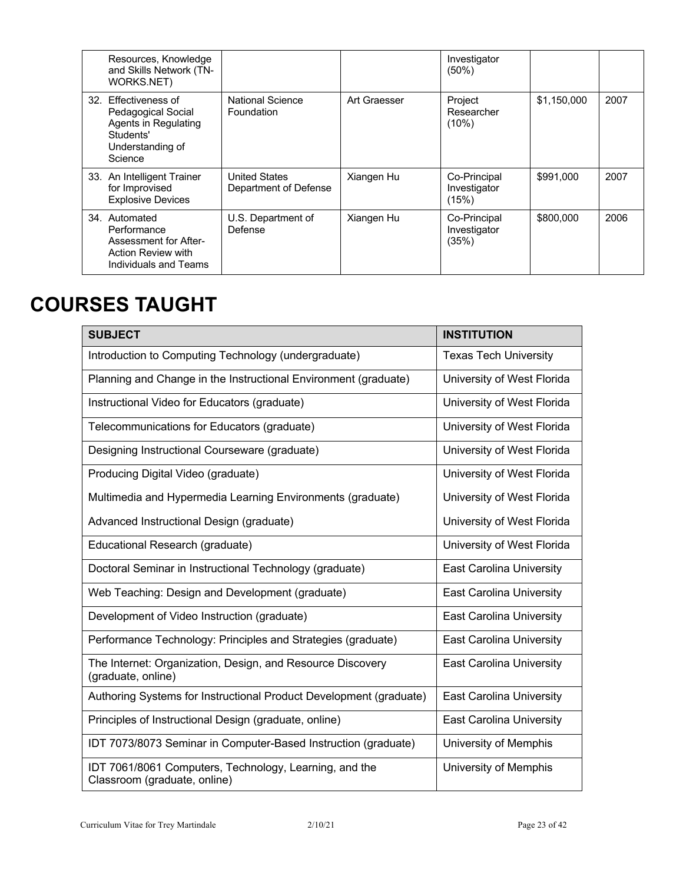| Resources, Knowledge<br>and Skills Network (TN-<br>WORKS.NET)                                                  |                                               |              | Investigator<br>$(50\%)$              |             |      |
|----------------------------------------------------------------------------------------------------------------|-----------------------------------------------|--------------|---------------------------------------|-------------|------|
| 32. Effectiveness of<br>Pedagogical Social<br>Agents in Regulating<br>Students'<br>Understanding of<br>Science | National Science<br>Foundation                | Art Graesser | Project<br>Researcher<br>(10%)        | \$1,150,000 | 2007 |
| 33. An Intelligent Trainer<br>for Improvised<br><b>Explosive Devices</b>                                       | <b>United States</b><br>Department of Defense | Xiangen Hu   | Co-Principal<br>Investigator<br>(15%) | \$991,000   | 2007 |
| 34. Automated<br>Performance<br>Assessment for After-<br>Action Review with<br>Individuals and Teams           | U.S. Department of<br>Defense                 | Xiangen Hu   | Co-Principal<br>Investigator<br>(35%) | \$800,000   | 2006 |

# **COURSES TAUGHT**

| <b>SUBJECT</b>                                                                         | <b>INSTITUTION</b>              |
|----------------------------------------------------------------------------------------|---------------------------------|
| Introduction to Computing Technology (undergraduate)                                   | <b>Texas Tech University</b>    |
| Planning and Change in the Instructional Environment (graduate)                        | University of West Florida      |
| Instructional Video for Educators (graduate)                                           | University of West Florida      |
| Telecommunications for Educators (graduate)                                            | University of West Florida      |
| Designing Instructional Courseware (graduate)                                          | University of West Florida      |
| Producing Digital Video (graduate)                                                     | University of West Florida      |
| Multimedia and Hypermedia Learning Environments (graduate)                             | University of West Florida      |
| Advanced Instructional Design (graduate)                                               | University of West Florida      |
| Educational Research (graduate)                                                        | University of West Florida      |
| Doctoral Seminar in Instructional Technology (graduate)                                | <b>East Carolina University</b> |
| Web Teaching: Design and Development (graduate)                                        | <b>East Carolina University</b> |
| Development of Video Instruction (graduate)                                            | <b>East Carolina University</b> |
| Performance Technology: Principles and Strategies (graduate)                           | <b>East Carolina University</b> |
| The Internet: Organization, Design, and Resource Discovery<br>(graduate, online)       | <b>East Carolina University</b> |
| Authoring Systems for Instructional Product Development (graduate)                     | <b>East Carolina University</b> |
| Principles of Instructional Design (graduate, online)                                  | <b>East Carolina University</b> |
| IDT 7073/8073 Seminar in Computer-Based Instruction (graduate)                         | University of Memphis           |
| IDT 7061/8061 Computers, Technology, Learning, and the<br>Classroom (graduate, online) | University of Memphis           |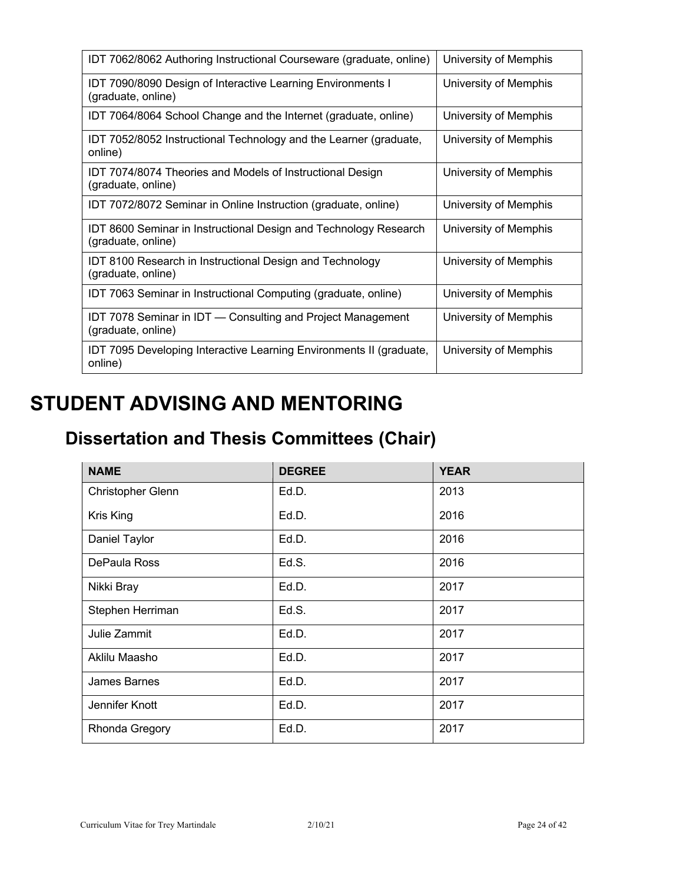| IDT 7062/8062 Authoring Instructional Courseware (graduate, online)                           | University of Memphis |
|-----------------------------------------------------------------------------------------------|-----------------------|
| <b>IDT 7090/8090 Design of Interactive Learning Environments I</b><br>(graduate, online)      | University of Memphis |
| IDT 7064/8064 School Change and the Internet (graduate, online)                               | University of Memphis |
| IDT 7052/8052 Instructional Technology and the Learner (graduate,<br>online)                  | University of Memphis |
| IDT 7074/8074 Theories and Models of Instructional Design<br>(graduate, online)               | University of Memphis |
| IDT 7072/8072 Seminar in Online Instruction (graduate, online)                                | University of Memphis |
| <b>IDT 8600 Seminar in Instructional Design and Technology Research</b><br>(graduate, online) | University of Memphis |
| <b>IDT 8100 Research in Instructional Design and Technology</b><br>(graduate, online)         | University of Memphis |
| IDT 7063 Seminar in Instructional Computing (graduate, online)                                | University of Memphis |
| IDT 7078 Seminar in IDT - Consulting and Project Management<br>(graduate, online)             | University of Memphis |
| IDT 7095 Developing Interactive Learning Environments II (graduate,<br>online)                | University of Memphis |

# **STUDENT ADVISING AND MENTORING**

# **Dissertation and Thesis Committees (Chair)**

| <b>NAME</b>         | <b>DEGREE</b> | <b>YEAR</b> |
|---------------------|---------------|-------------|
| Christopher Glenn   | Ed.D.         | 2013        |
| Kris King           | Ed.D.         | 2016        |
| Daniel Taylor       | Ed.D.         | 2016        |
| DePaula Ross        | Ed.S.         | 2016        |
| Nikki Bray          | Ed.D.         | 2017        |
| Stephen Herriman    | Ed.S.         | 2017        |
| Julie Zammit        | Ed.D.         | 2017        |
| Aklilu Maasho       | Ed.D.         | 2017        |
| <b>James Barnes</b> | Ed.D.         | 2017        |
| Jennifer Knott      | Ed.D.         | 2017        |
| Rhonda Gregory      | Ed.D.         | 2017        |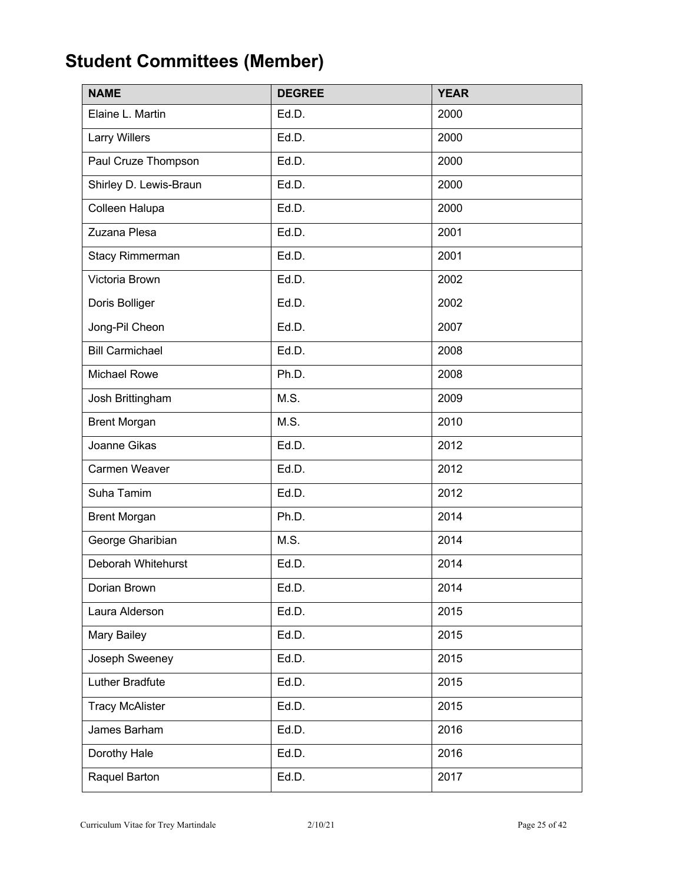# **Student Committees (Member)**

| <b>NAME</b>            | <b>DEGREE</b> | <b>YEAR</b> |
|------------------------|---------------|-------------|
| Elaine L. Martin       | Ed.D.         | 2000        |
| <b>Larry Willers</b>   | Ed.D.         | 2000        |
| Paul Cruze Thompson    | Ed.D.         | 2000        |
| Shirley D. Lewis-Braun | Ed.D.         | 2000        |
| Colleen Halupa         | Ed.D.         | 2000        |
| Zuzana Plesa           | Ed.D.         | 2001        |
| Stacy Rimmerman        | Ed.D.         | 2001        |
| Victoria Brown         | Ed.D.         | 2002        |
| Doris Bolliger         | Ed.D.         | 2002        |
| Jong-Pil Cheon         | Ed.D.         | 2007        |
| <b>Bill Carmichael</b> | Ed.D.         | 2008        |
| <b>Michael Rowe</b>    | Ph.D.         | 2008        |
| Josh Brittingham       | M.S.          | 2009        |
| <b>Brent Morgan</b>    | M.S.          | 2010        |
| Joanne Gikas           | Ed.D.         | 2012        |
| Carmen Weaver          | Ed.D.         | 2012        |
| Suha Tamim             | Ed.D.         | 2012        |
| <b>Brent Morgan</b>    | Ph.D.         | 2014        |
| George Gharibian       | M.S.          | 2014        |
| Deborah Whitehurst     | Ed.D.         | 2014        |
| Dorian Brown           | Ed.D.         | 2014        |
| Laura Alderson         | Ed.D.         | 2015        |
| Mary Bailey            | Ed.D.         | 2015        |
| Joseph Sweeney         | Ed.D.         | 2015        |
| Luther Bradfute        | Ed.D.         | 2015        |
| <b>Tracy McAlister</b> | Ed.D.         | 2015        |
| James Barham           | Ed.D.         | 2016        |
| Dorothy Hale           | Ed.D.         | 2016        |
| Raquel Barton          | Ed.D.         | 2017        |

Curriculum Vitae for Trey Martindale 2/10/21 Page 25 of 42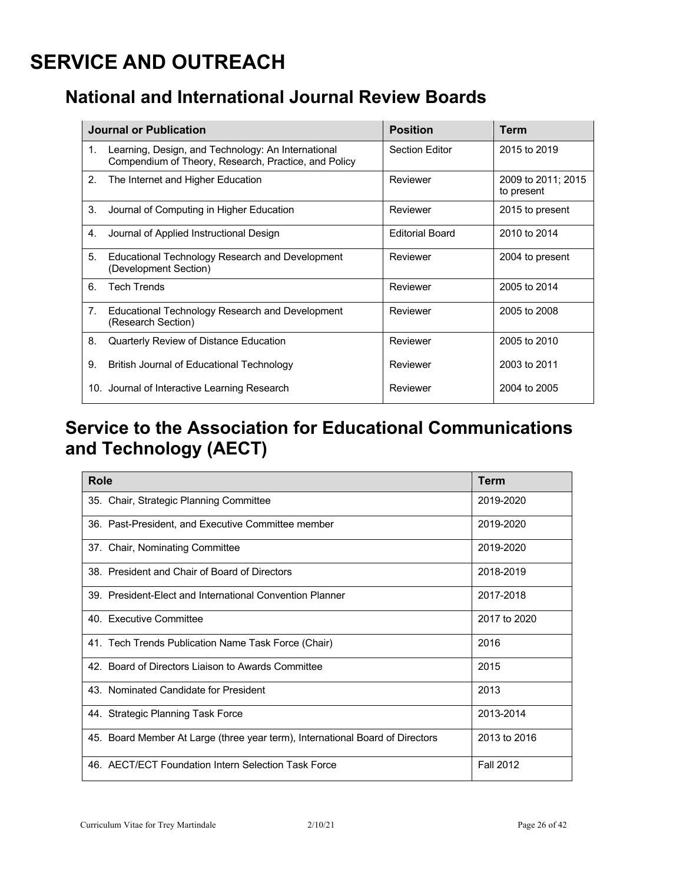# **SERVICE AND OUTREACH**

## **National and International Journal Review Boards**

|    | <b>Journal or Publication</b>                                                                              | <b>Position</b>        | Term                             |
|----|------------------------------------------------------------------------------------------------------------|------------------------|----------------------------------|
| 1. | Learning, Design, and Technology: An International<br>Compendium of Theory, Research, Practice, and Policy | <b>Section Editor</b>  | 2015 to 2019                     |
| 2. | The Internet and Higher Education                                                                          | Reviewer               | 2009 to 2011; 2015<br>to present |
| 3. | Journal of Computing in Higher Education                                                                   | Reviewer               | 2015 to present                  |
| 4. | Journal of Applied Instructional Design                                                                    | <b>Editorial Board</b> | 2010 to 2014                     |
| 5. | Educational Technology Research and Development<br>(Development Section)                                   | Reviewer               | 2004 to present                  |
| 6. | <b>Tech Trends</b>                                                                                         | Reviewer               | 2005 to 2014                     |
| 7. | Educational Technology Research and Development<br>(Research Section)                                      | Reviewer               | 2005 to 2008                     |
| 8. | Quarterly Review of Distance Education                                                                     | Reviewer               | 2005 to 2010                     |
| 9. | British Journal of Educational Technology                                                                  | Reviewer               | 2003 to 2011                     |
|    | 10. Journal of Interactive Learning Research                                                               | Reviewer               | 2004 to 2005                     |

## **Service to the Association for Educational Communications and Technology (AECT)**

| Role                                                                          | <b>Term</b>      |
|-------------------------------------------------------------------------------|------------------|
| 35. Chair, Strategic Planning Committee                                       | 2019-2020        |
| 36. Past-President, and Executive Committee member                            | 2019-2020        |
| 37. Chair, Nominating Committee                                               | 2019-2020        |
| 38. President and Chair of Board of Directors                                 | 2018-2019        |
| 39. President-Flect and International Convention Planner                      | 2017-2018        |
| 40. Executive Committee                                                       | 2017 to 2020     |
| 41. Tech Trends Publication Name Task Force (Chair)                           | 2016             |
| 42. Board of Directors Liaison to Awards Committee                            | 2015             |
| 43. Nominated Candidate for President                                         | 2013             |
| 44. Strategic Planning Task Force                                             | 2013-2014        |
| 45. Board Member At Large (three year term), International Board of Directors | 2013 to 2016     |
| 46. AECT/ECT Foundation Intern Selection Task Force                           | <b>Fall 2012</b> |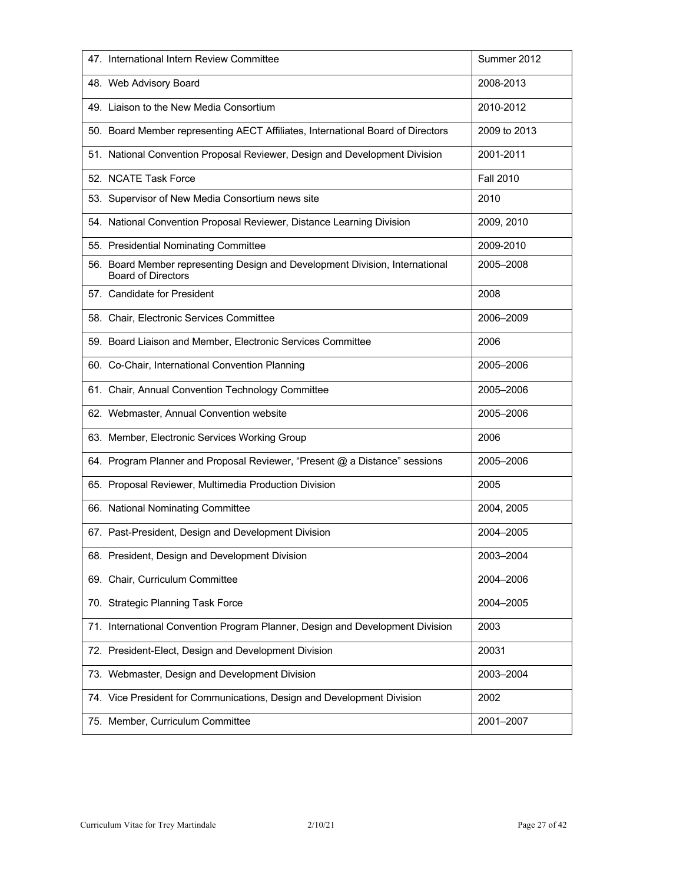| 47. International Intern Review Committee                                                                 | Summer 2012      |
|-----------------------------------------------------------------------------------------------------------|------------------|
| 48. Web Advisory Board                                                                                    | 2008-2013        |
| 49. Liaison to the New Media Consortium                                                                   | 2010-2012        |
| 50. Board Member representing AECT Affiliates, International Board of Directors                           | 2009 to 2013     |
| 51. National Convention Proposal Reviewer, Design and Development Division                                | 2001-2011        |
| 52. NCATE Task Force                                                                                      | <b>Fall 2010</b> |
| 53. Supervisor of New Media Consortium news site                                                          | 2010             |
| 54. National Convention Proposal Reviewer, Distance Learning Division                                     | 2009, 2010       |
| 55. Presidential Nominating Committee                                                                     | 2009-2010        |
| 56. Board Member representing Design and Development Division, International<br><b>Board of Directors</b> | 2005-2008        |
| 57. Candidate for President                                                                               | 2008             |
| 58. Chair, Electronic Services Committee                                                                  | 2006-2009        |
| 59. Board Liaison and Member, Electronic Services Committee                                               | 2006             |
| 60. Co-Chair, International Convention Planning                                                           | 2005-2006        |
| 61. Chair, Annual Convention Technology Committee                                                         | 2005-2006        |
| 62. Webmaster, Annual Convention website                                                                  | 2005-2006        |
| 63. Member, Electronic Services Working Group                                                             | 2006             |
| 64. Program Planner and Proposal Reviewer, "Present @ a Distance" sessions                                | 2005-2006        |
| 65. Proposal Reviewer, Multimedia Production Division                                                     | 2005             |
| 66. National Nominating Committee                                                                         | 2004, 2005       |
| 67. Past-President, Design and Development Division                                                       | 2004-2005        |
| 68. President, Design and Development Division                                                            | 2003-2004        |
| 69. Chair, Curriculum Committee                                                                           | 2004-2006        |
| 70. Strategic Planning Task Force                                                                         | 2004-2005        |
| 71. International Convention Program Planner, Design and Development Division                             | 2003             |
| 72. President-Elect, Design and Development Division                                                      | 20031            |
| 73. Webmaster, Design and Development Division                                                            | 2003-2004        |
| 74. Vice President for Communications, Design and Development Division                                    | 2002             |
| 75. Member, Curriculum Committee                                                                          | 2001-2007        |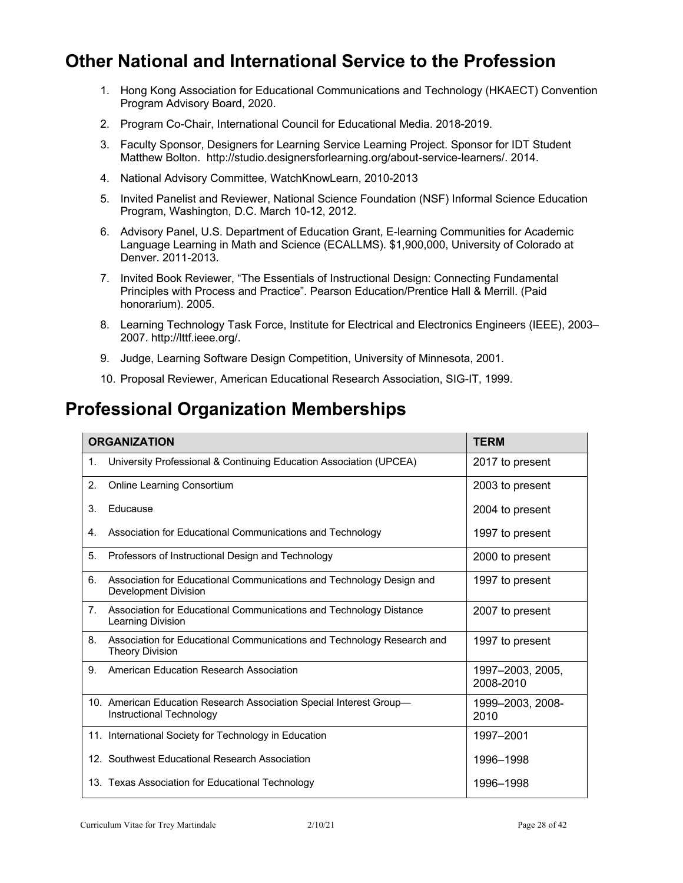## **Other National and International Service to the Profession**

- 1. Hong Kong Association for Educational Communications and Technology (HKAECT) Convention Program Advisory Board, 2020.
- 2. Program Co-Chair, International Council for Educational Media. 2018-2019.
- 3. Faculty Sponsor, Designers for Learning Service Learning Project. Sponsor for IDT Student Matthew Bolton. http://studio.designersforlearning.org/about-service-learners/. 2014.
- 4. National Advisory Committee, WatchKnowLearn, 2010-2013
- 5. Invited Panelist and Reviewer, National Science Foundation (NSF) Informal Science Education Program, Washington, D.C. March 10-12, 2012.
- 6. Advisory Panel, U.S. Department of Education Grant, E-learning Communities for Academic Language Learning in Math and Science (ECALLMS). \$1,900,000, University of Colorado at Denver. 2011-2013.
- 7. Invited Book Reviewer, "The Essentials of Instructional Design: Connecting Fundamental Principles with Process and Practice". Pearson Education/Prentice Hall & Merrill. (Paid honorarium). 2005.
- 8. Learning Technology Task Force, Institute for Electrical and Electronics Engineers (IEEE), 2003-2007. http://lttf.ieee.org/.
- 9. Judge, Learning Software Design Competition, University of Minnesota, 2001.
- 10. Proposal Reviewer, American Educational Research Association, SIG-IT, 1999.

## **Professional Organization Memberships**

|                | <b>ORGANIZATION</b>                                                                              | <b>TERM</b>                   |
|----------------|--------------------------------------------------------------------------------------------------|-------------------------------|
| 1.             | University Professional & Continuing Education Association (UPCEA)                               | 2017 to present               |
| 2.             | <b>Online Learning Consortium</b>                                                                | 2003 to present               |
| 3.             | Educause                                                                                         | 2004 to present               |
| 4.             | Association for Educational Communications and Technology                                        | 1997 to present               |
| 5.             | Professors of Instructional Design and Technology                                                | 2000 to present               |
| 6.             | Association for Educational Communications and Technology Design and<br>Development Division     | 1997 to present               |
| 7 <sub>1</sub> | Association for Educational Communications and Technology Distance<br>Learning Division          | 2007 to present               |
| 8.             | Association for Educational Communications and Technology Research and<br><b>Theory Division</b> | 1997 to present               |
| 9.             | American Education Research Association                                                          | 1997-2003, 2005,<br>2008-2010 |
|                | 10. American Education Research Association Special Interest Group-<br>Instructional Technology  | 1999-2003, 2008-<br>2010      |
|                | 11. International Society for Technology in Education                                            | 1997-2001                     |
|                | 12. Southwest Educational Research Association                                                   | 1996-1998                     |
|                | 13. Texas Association for Educational Technology                                                 | 1996-1998                     |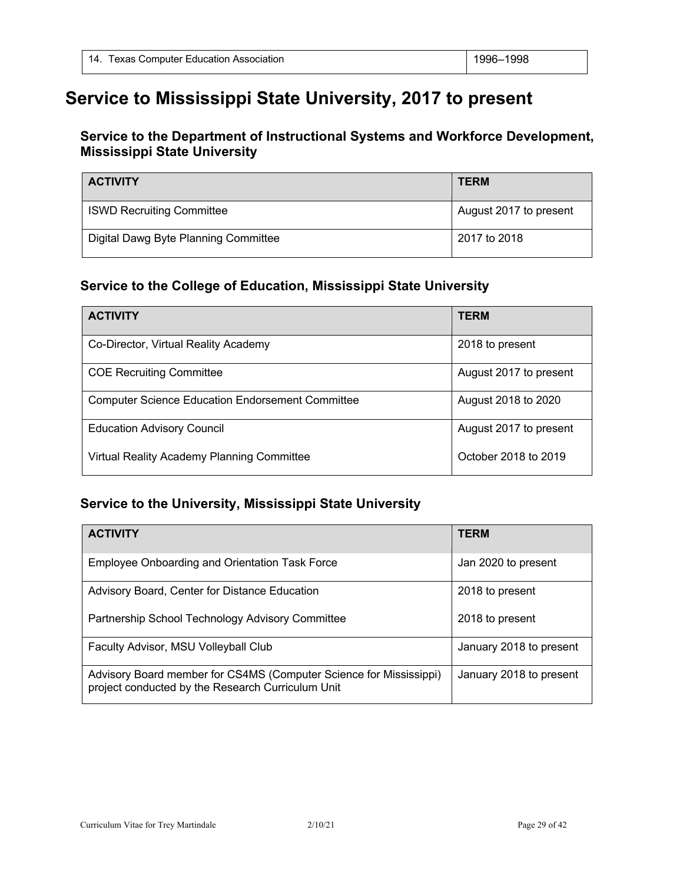## **Service to Mississippi State University, 2017 to present**

### **Service to the Department of Instructional Systems and Workforce Development, Mississippi State University**

| <b>ACTIVITY</b>                      | <b>TERM</b>            |
|--------------------------------------|------------------------|
| <b>ISWD Recruiting Committee</b>     | August 2017 to present |
| Digital Dawg Byte Planning Committee | 2017 to 2018           |

### **Service to the College of Education, Mississippi State University**

| <b>ACTIVITY</b>                                         | <b>TERM</b>            |
|---------------------------------------------------------|------------------------|
| Co-Director, Virtual Reality Academy                    | 2018 to present        |
| <b>COE Recruiting Committee</b>                         | August 2017 to present |
| <b>Computer Science Education Endorsement Committee</b> | August 2018 to 2020    |
| <b>Education Advisory Council</b>                       | August 2017 to present |
| Virtual Reality Academy Planning Committee              | October 2018 to 2019   |

### **Service to the University, Mississippi State University**

| <b>ACTIVITY</b>                                                                                                         | <b>TERM</b>             |
|-------------------------------------------------------------------------------------------------------------------------|-------------------------|
| Employee Onboarding and Orientation Task Force                                                                          | Jan 2020 to present     |
| Advisory Board, Center for Distance Education                                                                           | 2018 to present         |
| Partnership School Technology Advisory Committee                                                                        | 2018 to present         |
| Faculty Advisor, MSU Volleyball Club                                                                                    | January 2018 to present |
| Advisory Board member for CS4MS (Computer Science for Mississippi)<br>project conducted by the Research Curriculum Unit | January 2018 to present |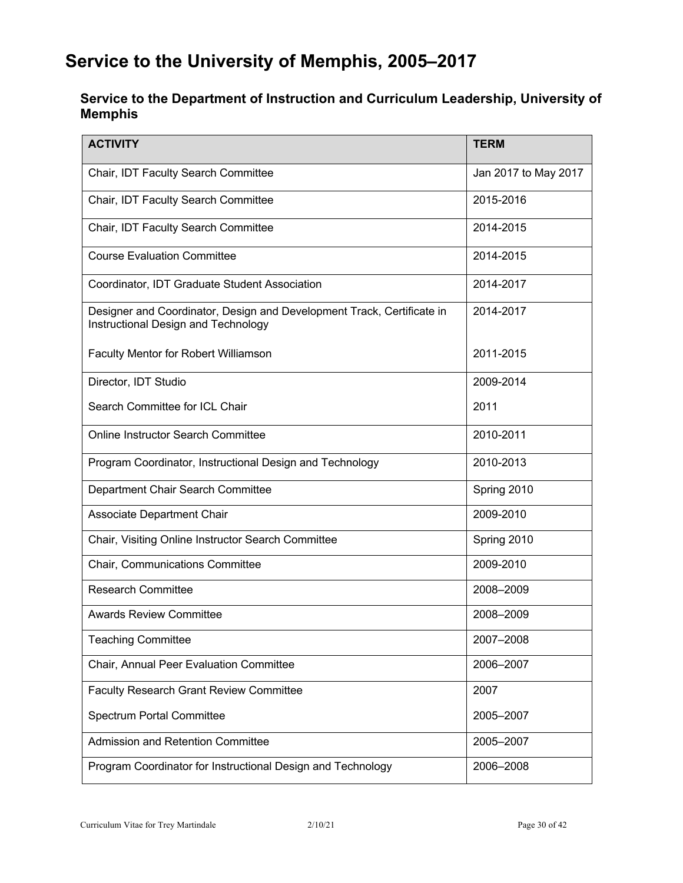## **Service to the University of Memphis, 2005–2017**

### **Service to the Department of Instruction and Curriculum Leadership, University of Memphis**

| <b>ACTIVITY</b>                                                                                               | <b>TERM</b>          |
|---------------------------------------------------------------------------------------------------------------|----------------------|
| Chair, IDT Faculty Search Committee                                                                           | Jan 2017 to May 2017 |
| Chair, IDT Faculty Search Committee                                                                           | 2015-2016            |
| Chair, IDT Faculty Search Committee                                                                           | 2014-2015            |
| <b>Course Evaluation Committee</b>                                                                            | 2014-2015            |
| Coordinator, IDT Graduate Student Association                                                                 | 2014-2017            |
| Designer and Coordinator, Design and Development Track, Certificate in<br>Instructional Design and Technology | 2014-2017            |
| Faculty Mentor for Robert Williamson                                                                          | 2011-2015            |
| Director, IDT Studio                                                                                          | 2009-2014            |
| Search Committee for ICL Chair                                                                                | 2011                 |
| <b>Online Instructor Search Committee</b>                                                                     | 2010-2011            |
| Program Coordinator, Instructional Design and Technology                                                      | 2010-2013            |
| Department Chair Search Committee                                                                             | Spring 2010          |
| <b>Associate Department Chair</b>                                                                             | 2009-2010            |
| Chair, Visiting Online Instructor Search Committee                                                            | Spring 2010          |
| Chair, Communications Committee                                                                               | 2009-2010            |
| <b>Research Committee</b>                                                                                     | 2008-2009            |
| <b>Awards Review Committee</b>                                                                                | 2008-2009            |
| <b>Teaching Committee</b>                                                                                     | 2007-2008            |
| Chair, Annual Peer Evaluation Committee                                                                       | 2006-2007            |
| <b>Faculty Research Grant Review Committee</b>                                                                | 2007                 |
| <b>Spectrum Portal Committee</b>                                                                              | 2005-2007            |
| <b>Admission and Retention Committee</b>                                                                      | 2005-2007            |
| Program Coordinator for Instructional Design and Technology                                                   | 2006-2008            |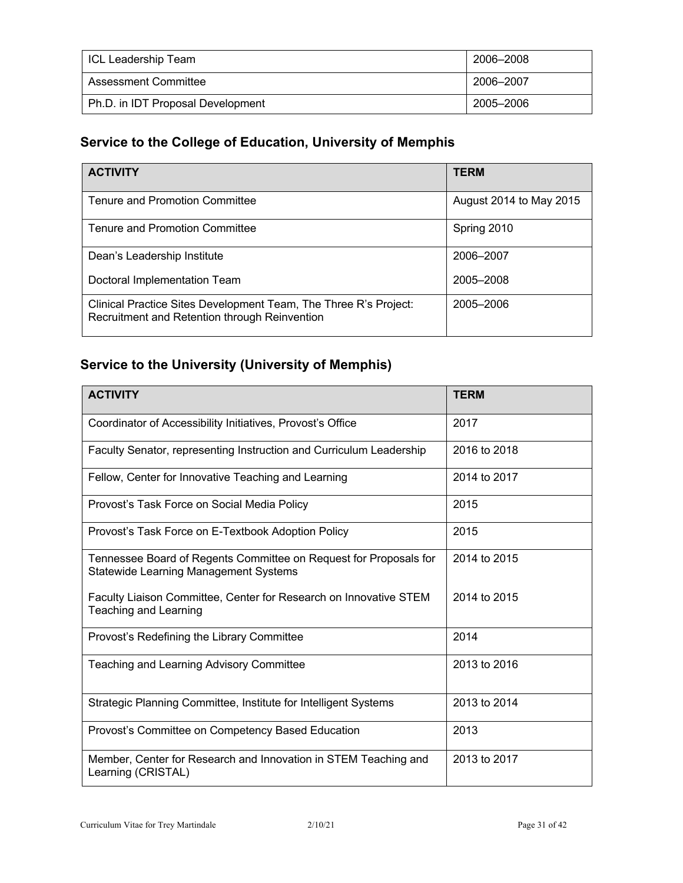| ICL Leadership Team               | 2006–2008 |
|-----------------------------------|-----------|
| Assessment Committee              | 2006-2007 |
| Ph.D. in IDT Proposal Development | 2005–2006 |

### **Service to the College of Education, University of Memphis**

| <b>ACTIVITY</b>                                                                                                   | <b>TERM</b>             |
|-------------------------------------------------------------------------------------------------------------------|-------------------------|
| Tenure and Promotion Committee                                                                                    | August 2014 to May 2015 |
| Tenure and Promotion Committee                                                                                    | Spring 2010             |
| Dean's Leadership Institute                                                                                       | 2006-2007               |
| Doctoral Implementation Team                                                                                      | 2005-2008               |
| Clinical Practice Sites Development Team, The Three R's Project:<br>Recruitment and Retention through Reinvention | 2005-2006               |

## **Service to the University (University of Memphis)**

| <b>ACTIVITY</b>                                                                                                   | <b>TERM</b>  |
|-------------------------------------------------------------------------------------------------------------------|--------------|
| Coordinator of Accessibility Initiatives, Provost's Office                                                        | 2017         |
| Faculty Senator, representing Instruction and Curriculum Leadership                                               | 2016 to 2018 |
| Fellow, Center for Innovative Teaching and Learning                                                               | 2014 to 2017 |
| Provost's Task Force on Social Media Policy                                                                       | 2015         |
| Provost's Task Force on E-Textbook Adoption Policy                                                                | 2015         |
| Tennessee Board of Regents Committee on Request for Proposals for<br><b>Statewide Learning Management Systems</b> | 2014 to 2015 |
| Faculty Liaison Committee, Center for Research on Innovative STEM<br>Teaching and Learning                        | 2014 to 2015 |
| Provost's Redefining the Library Committee                                                                        | 2014         |
| <b>Teaching and Learning Advisory Committee</b>                                                                   | 2013 to 2016 |
| Strategic Planning Committee, Institute for Intelligent Systems                                                   | 2013 to 2014 |
| Provost's Committee on Competency Based Education                                                                 | 2013         |
| Member, Center for Research and Innovation in STEM Teaching and<br>Learning (CRISTAL)                             | 2013 to 2017 |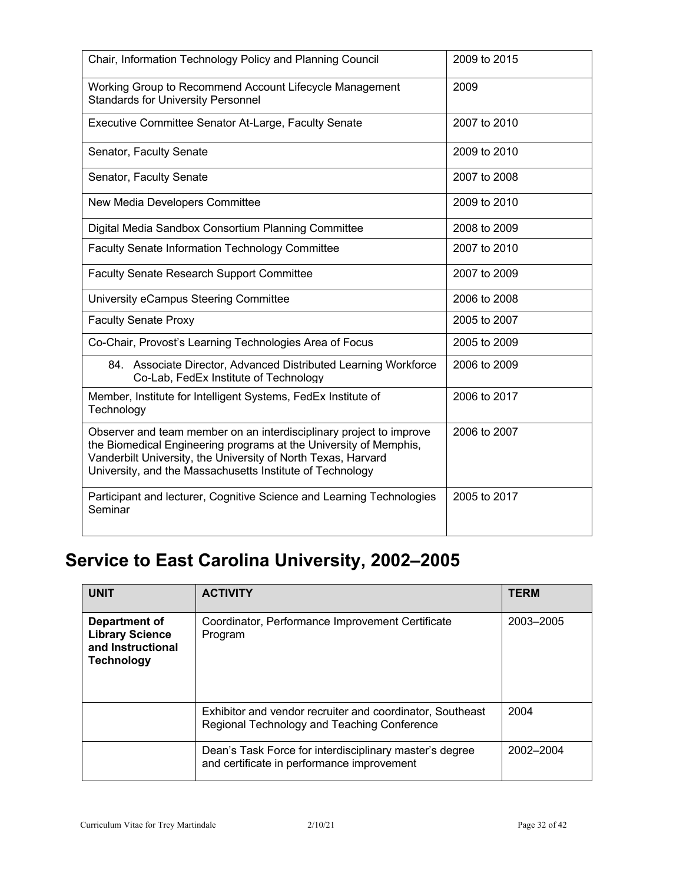| Chair, Information Technology Policy and Planning Council                                                                                                                                                                                                              | 2009 to 2015 |
|------------------------------------------------------------------------------------------------------------------------------------------------------------------------------------------------------------------------------------------------------------------------|--------------|
| Working Group to Recommend Account Lifecycle Management<br><b>Standards for University Personnel</b>                                                                                                                                                                   | 2009         |
| Executive Committee Senator At-Large, Faculty Senate                                                                                                                                                                                                                   | 2007 to 2010 |
| Senator, Faculty Senate                                                                                                                                                                                                                                                | 2009 to 2010 |
| Senator, Faculty Senate                                                                                                                                                                                                                                                | 2007 to 2008 |
| New Media Developers Committee                                                                                                                                                                                                                                         | 2009 to 2010 |
| Digital Media Sandbox Consortium Planning Committee                                                                                                                                                                                                                    | 2008 to 2009 |
| Faculty Senate Information Technology Committee                                                                                                                                                                                                                        | 2007 to 2010 |
| <b>Faculty Senate Research Support Committee</b>                                                                                                                                                                                                                       | 2007 to 2009 |
| University eCampus Steering Committee                                                                                                                                                                                                                                  | 2006 to 2008 |
| <b>Faculty Senate Proxy</b>                                                                                                                                                                                                                                            | 2005 to 2007 |
| Co-Chair, Provost's Learning Technologies Area of Focus                                                                                                                                                                                                                | 2005 to 2009 |
| 84. Associate Director, Advanced Distributed Learning Workforce<br>Co-Lab, FedEx Institute of Technology                                                                                                                                                               | 2006 to 2009 |
| Member, Institute for Intelligent Systems, FedEx Institute of<br>Technology                                                                                                                                                                                            | 2006 to 2017 |
| Observer and team member on an interdisciplinary project to improve<br>the Biomedical Engineering programs at the University of Memphis,<br>Vanderbilt University, the University of North Texas, Harvard<br>University, and the Massachusetts Institute of Technology | 2006 to 2007 |
| Participant and lecturer, Cognitive Science and Learning Technologies<br>Seminar                                                                                                                                                                                       | 2005 to 2017 |

# **Service to East Carolina University, 2002–2005**

| <b>UNIT</b>                                                                       | <b>ACTIVITY</b>                                                                                          | <b>TERM</b> |
|-----------------------------------------------------------------------------------|----------------------------------------------------------------------------------------------------------|-------------|
| Department of<br><b>Library Science</b><br>and Instructional<br><b>Technology</b> | Coordinator, Performance Improvement Certificate<br>Program                                              | 2003-2005   |
|                                                                                   | Exhibitor and vendor recruiter and coordinator, Southeast<br>Regional Technology and Teaching Conference | 2004        |
|                                                                                   | Dean's Task Force for interdisciplinary master's degree<br>and certificate in performance improvement    | 2002-2004   |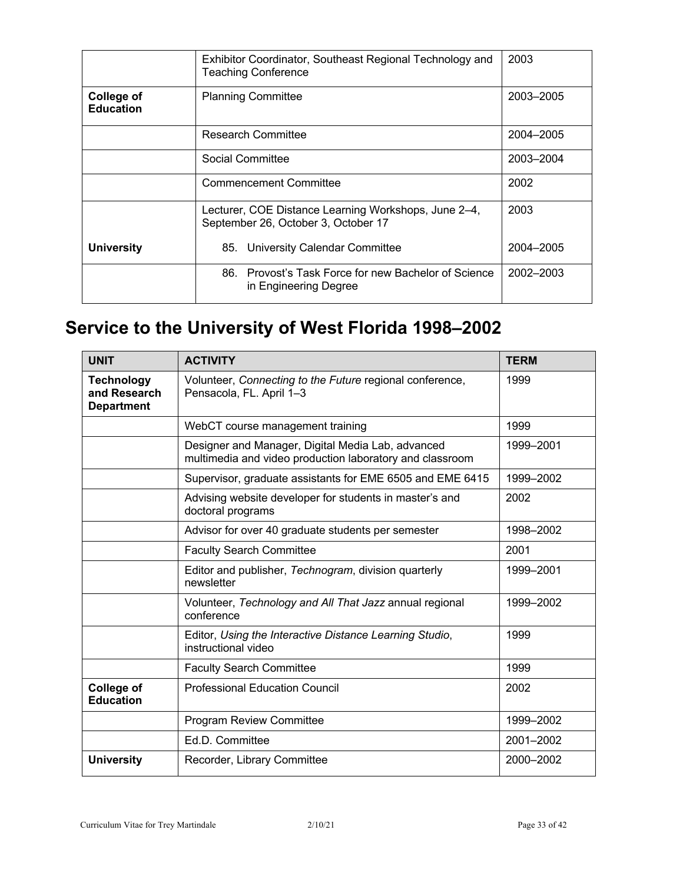|                                       | Exhibitor Coordinator, Southeast Regional Technology and<br><b>Teaching Conference</b>      | 2003      |
|---------------------------------------|---------------------------------------------------------------------------------------------|-----------|
| <b>College of</b><br><b>Education</b> | <b>Planning Committee</b>                                                                   | 2003-2005 |
|                                       | Research Committee                                                                          | 2004-2005 |
|                                       | Social Committee                                                                            | 2003-2004 |
|                                       | <b>Commencement Committee</b>                                                               | 2002      |
|                                       | Lecturer, COE Distance Learning Workshops, June 2–4,<br>September 26, October 3, October 17 | 2003      |
| <b>University</b>                     | 85. University Calendar Committee                                                           | 2004-2005 |
|                                       | Provost's Task Force for new Bachelor of Science<br>86.<br>in Engineering Degree            | 2002-2003 |

# **Service to the University of West Florida 1998–2002**

| <b>UNIT</b>                                            | <b>ACTIVITY</b>                                                                                               | <b>TERM</b> |
|--------------------------------------------------------|---------------------------------------------------------------------------------------------------------------|-------------|
| <b>Technology</b><br>and Research<br><b>Department</b> | Volunteer, Connecting to the Future regional conference,<br>Pensacola, FL. April 1-3                          | 1999        |
|                                                        | WebCT course management training                                                                              | 1999        |
|                                                        | Designer and Manager, Digital Media Lab, advanced<br>multimedia and video production laboratory and classroom | 1999-2001   |
|                                                        | Supervisor, graduate assistants for EME 6505 and EME 6415                                                     | 1999-2002   |
|                                                        | Advising website developer for students in master's and<br>doctoral programs                                  | 2002        |
|                                                        | Advisor for over 40 graduate students per semester                                                            | 1998-2002   |
|                                                        | <b>Faculty Search Committee</b>                                                                               | 2001        |
|                                                        | Editor and publisher, Technogram, division quarterly<br>newsletter                                            | 1999-2001   |
|                                                        | Volunteer, Technology and All That Jazz annual regional<br>conference                                         | 1999-2002   |
|                                                        | Editor, Using the Interactive Distance Learning Studio,<br>instructional video                                | 1999        |
|                                                        | <b>Faculty Search Committee</b>                                                                               | 1999        |
| <b>College of</b><br><b>Education</b>                  | <b>Professional Education Council</b>                                                                         | 2002        |
|                                                        | <b>Program Review Committee</b>                                                                               | 1999-2002   |
|                                                        | Ed.D. Committee                                                                                               | 2001-2002   |
| <b>University</b>                                      | Recorder, Library Committee                                                                                   | 2000-2002   |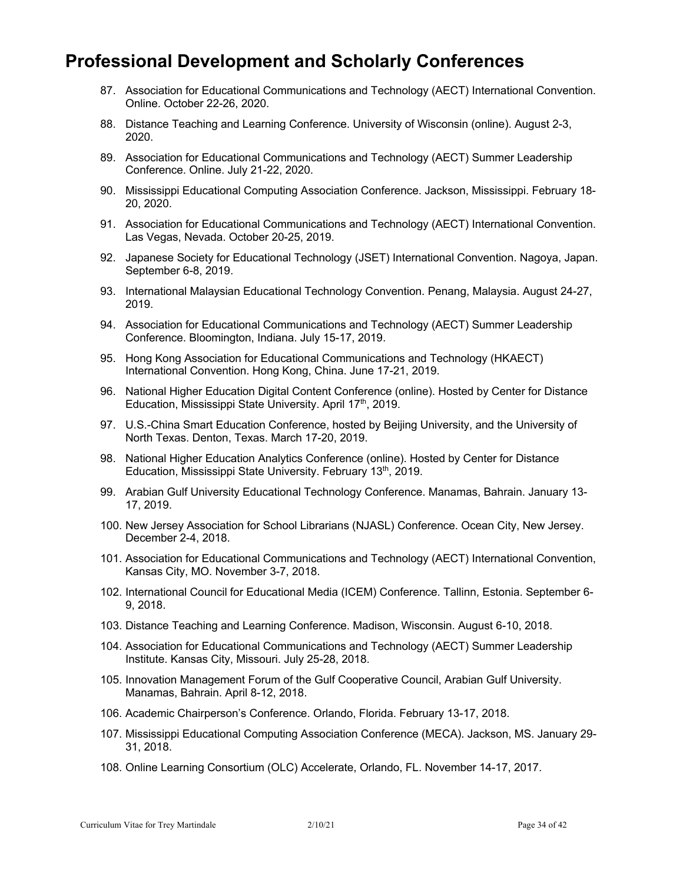## **Professional Development and Scholarly Conferences**

- 87. Association for Educational Communications and Technology (AECT) International Convention. Online. October 22-26, 2020.
- 88. Distance Teaching and Learning Conference. University of Wisconsin (online). August 2-3, 2020.
- 89. Association for Educational Communications and Technology (AECT) Summer Leadership Conference. Online. July 21-22, 2020.
- 90. Mississippi Educational Computing Association Conference. Jackson, Mississippi. February 18- 20, 2020.
- 91. Association for Educational Communications and Technology (AECT) International Convention. Las Vegas, Nevada. October 20-25, 2019.
- 92. Japanese Society for Educational Technology (JSET) International Convention. Nagoya, Japan. September 6-8, 2019.
- 93. International Malaysian Educational Technology Convention. Penang, Malaysia. August 24-27, 2019.
- 94. Association for Educational Communications and Technology (AECT) Summer Leadership Conference. Bloomington, Indiana. July 15-17, 2019.
- 95. Hong Kong Association for Educational Communications and Technology (HKAECT) International Convention. Hong Kong, China. June 17-21, 2019.
- 96. National Higher Education Digital Content Conference (online). Hosted by Center for Distance Education, Mississippi State University. April 17<sup>th</sup>, 2019.
- 97. U.S.-China Smart Education Conference, hosted by Beijing University, and the University of North Texas. Denton, Texas. March 17-20, 2019.
- 98. National Higher Education Analytics Conference (online). Hosted by Center for Distance Education, Mississippi State University. February 13<sup>th</sup>, 2019.
- 99. Arabian Gulf University Educational Technology Conference. Manamas, Bahrain. January 13- 17, 2019.
- 100. New Jersey Association for School Librarians (NJASL) Conference. Ocean City, New Jersey. December 2-4, 2018.
- 101. Association for Educational Communications and Technology (AECT) International Convention, Kansas City, MO. November 3-7, 2018.
- 102. International Council for Educational Media (ICEM) Conference. Tallinn, Estonia. September 6- 9, 2018.
- 103. Distance Teaching and Learning Conference. Madison, Wisconsin. August 6-10, 2018.
- 104. Association for Educational Communications and Technology (AECT) Summer Leadership Institute. Kansas City, Missouri. July 25-28, 2018.
- 105. Innovation Management Forum of the Gulf Cooperative Council, Arabian Gulf University. Manamas, Bahrain. April 8-12, 2018.
- 106. Academic Chairperson's Conference. Orlando, Florida. February 13-17, 2018.
- 107. Mississippi Educational Computing Association Conference (MECA). Jackson, MS. January 29- 31, 2018.
- 108. Online Learning Consortium (OLC) Accelerate, Orlando, FL. November 14-17, 2017.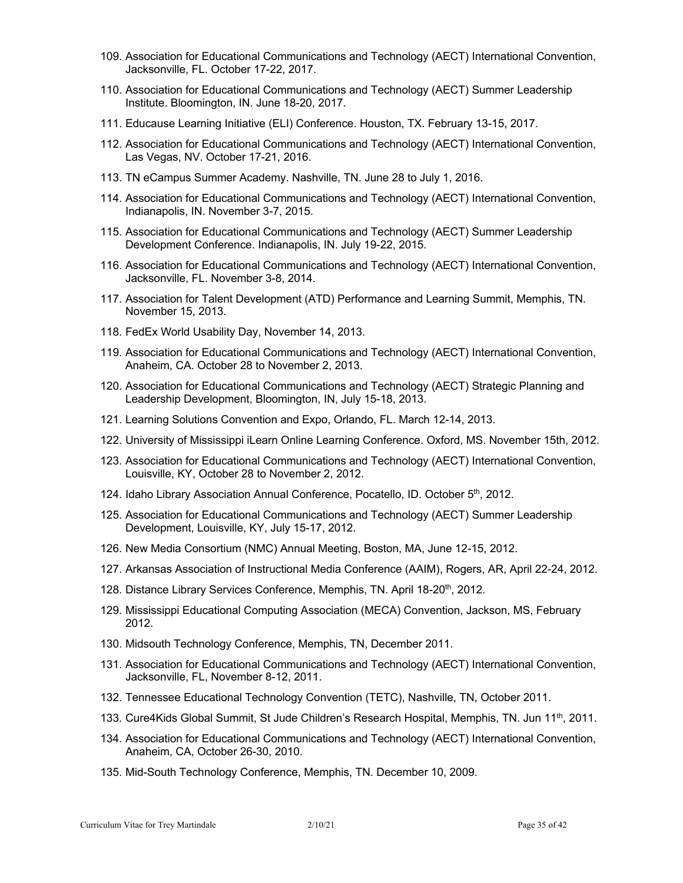- 109. Association for Educational Communications and Technology (AECT) International Convention, Jacksonville, FL. October 17-22, 2017.
- 110. Association for Educational Communications and Technology (AECT) Summer Leadership Institute. Bloomington, IN. June 18-20, 2017.
- 111. Educause Learning Initiative (ELI) Conference. Houston, TX. February 13-15, 2017.
- 112. Association for Educational Communications and Technology (AECT) International Convention, Las Vegas, NV. October 17-21, 2016.
- 113. TN eCampus Summer Academy. Nashville, TN. June 28 to July 1, 2016.
- 114. Association for Educational Communications and Technology (AECT) International Convention, Indianapolis, IN. November 3-7, 2015.
- 115. Association for Educational Communications and Technology (AECT) Summer Leadership Development Conference. Indianapolis, IN. July 19-22, 2015.
- 116. Association for Educational Communications and Technology (AECT) International Convention, Jacksonville, FL. November 3-8, 2014.
- 117. Association for Talent Development (ATD) Performance and Learning Summit, Memphis, TN. November 15, 2013.
- 118. FedEx World Usability Day, November 14, 2013.
- 119. Association for Educational Communications and Technology (AECT) International Convention, Anaheim, CA. October 28 to November 2, 2013.
- 120. Association for Educational Communications and Technology (AECT) Strategic Planning and Leadership Development, Bloomington, IN, July 15-18, 2013.
- 121. Learning Solutions Convention and Expo, Orlando, FL. March 12-14, 2013.
- 122. University of Mississippi iLearn Online Learning Conference. Oxford, MS. November 15th, 2012.
- 123. Association for Educational Communications and Technology (AECT) International Convention, Louisville, KY, October 28 to November 2, 2012.
- 124. Idaho Library Association Annual Conference, Pocatello, ID. October 5<sup>th</sup>, 2012.
- 125. Association for Educational Communications and Technology (AECT) Summer Leadership Development, Louisville, KY, July 15-17, 2012.
- 126. New Media Consortium (NMC) Annual Meeting, Boston, MA, June 12-15, 2012.
- 127. Arkansas Association of Instructional Media Conference (AAIM), Rogers, AR, April 22-24, 2012.
- 128. Distance Library Services Conference, Memphis, TN. April 18-20<sup>th</sup>, 2012.
- 129. Mississippi Educational Computing Association (MECA) Convention, Jackson, MS, February 2012.
- 130. Midsouth Technology Conference, Memphis, TN, December 2011.
- 131. Association for Educational Communications and Technology (AECT) International Convention, Jacksonville, FL, November 8-12, 2011.
- 132. Tennessee Educational Technology Convention (TETC), Nashville, TN, October 2011.
- 133. Cure4Kids Global Summit, St Jude Children's Research Hospital, Memphis, TN. Jun 11<sup>th</sup>, 2011.
- 134. Association for Educational Communications and Technology (AECT) International Convention, Anaheim, CA, October 26-30, 2010.
- 135. Mid-South Technology Conference, Memphis, TN. December 10, 2009.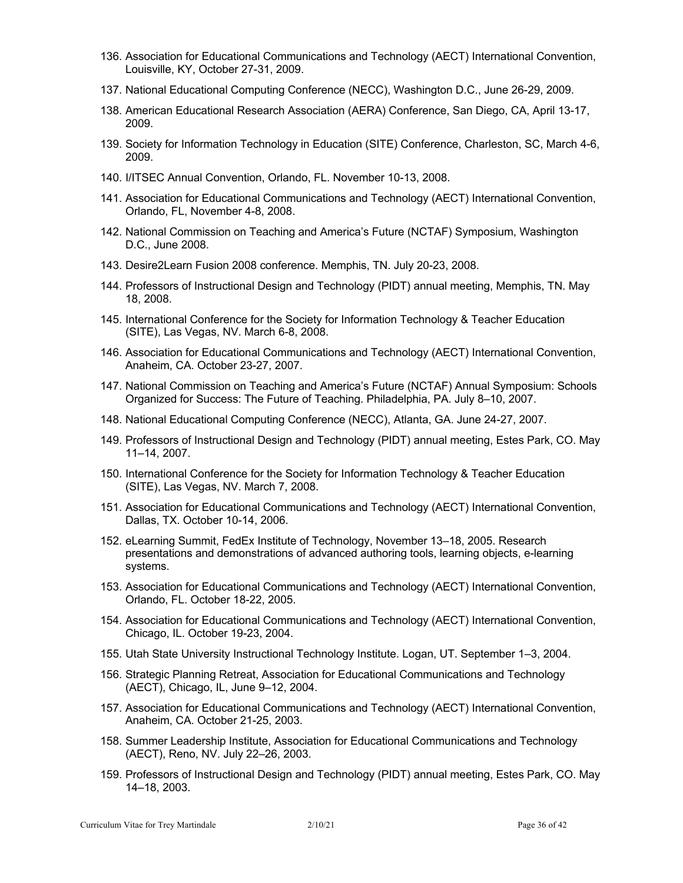- 136. Association for Educational Communications and Technology (AECT) International Convention, Louisville, KY, October 27-31, 2009.
- 137. National Educational Computing Conference (NECC), Washington D.C., June 26-29, 2009.
- 138. American Educational Research Association (AERA) Conference, San Diego, CA, April 13-17, 2009.
- 139. Society for Information Technology in Education (SITE) Conference, Charleston, SC, March 4-6, 2009.
- 140. I/ITSEC Annual Convention, Orlando, FL. November 10-13, 2008.
- 141. Association for Educational Communications and Technology (AECT) International Convention, Orlando, FL, November 4-8, 2008.
- 142. National Commission on Teaching and America's Future (NCTAF) Symposium, Washington D.C., June 2008.
- 143. Desire2Learn Fusion 2008 conference. Memphis, TN. July 20-23, 2008.
- 144. Professors of Instructional Design and Technology (PIDT) annual meeting, Memphis, TN. May 18, 2008.
- 145. International Conference for the Society for Information Technology & Teacher Education (SITE), Las Vegas, NV. March 6-8, 2008.
- 146. Association for Educational Communications and Technology (AECT) International Convention, Anaheim, CA. October 23-27, 2007.
- 147. National Commission on Teaching and America's Future (NCTAF) Annual Symposium: Schools Organized for Success: The Future of Teaching. Philadelphia, PA. July 8–10, 2007.
- 148. National Educational Computing Conference (NECC), Atlanta, GA. June 24-27, 2007.
- 149. Professors of Instructional Design and Technology (PIDT) annual meeting, Estes Park, CO. May 11–14, 2007.
- 150. International Conference for the Society for Information Technology & Teacher Education (SITE), Las Vegas, NV. March 7, 2008.
- 151. Association for Educational Communications and Technology (AECT) International Convention, Dallas, TX. October 10-14, 2006.
- 152. eLearning Summit, FedEx Institute of Technology, November 13–18, 2005. Research presentations and demonstrations of advanced authoring tools, learning objects, e-learning systems.
- 153. Association for Educational Communications and Technology (AECT) International Convention, Orlando, FL. October 18-22, 2005.
- 154. Association for Educational Communications and Technology (AECT) International Convention, Chicago, IL. October 19-23, 2004.
- 155. Utah State University Instructional Technology Institute. Logan, UT. September 1–3, 2004.
- 156. Strategic Planning Retreat, Association for Educational Communications and Technology (AECT), Chicago, IL, June 9–12, 2004.
- 157. Association for Educational Communications and Technology (AECT) International Convention, Anaheim, CA. October 21-25, 2003.
- 158. Summer Leadership Institute, Association for Educational Communications and Technology (AECT), Reno, NV. July 22–26, 2003.
- 159. Professors of Instructional Design and Technology (PIDT) annual meeting, Estes Park, CO. May 14–18, 2003.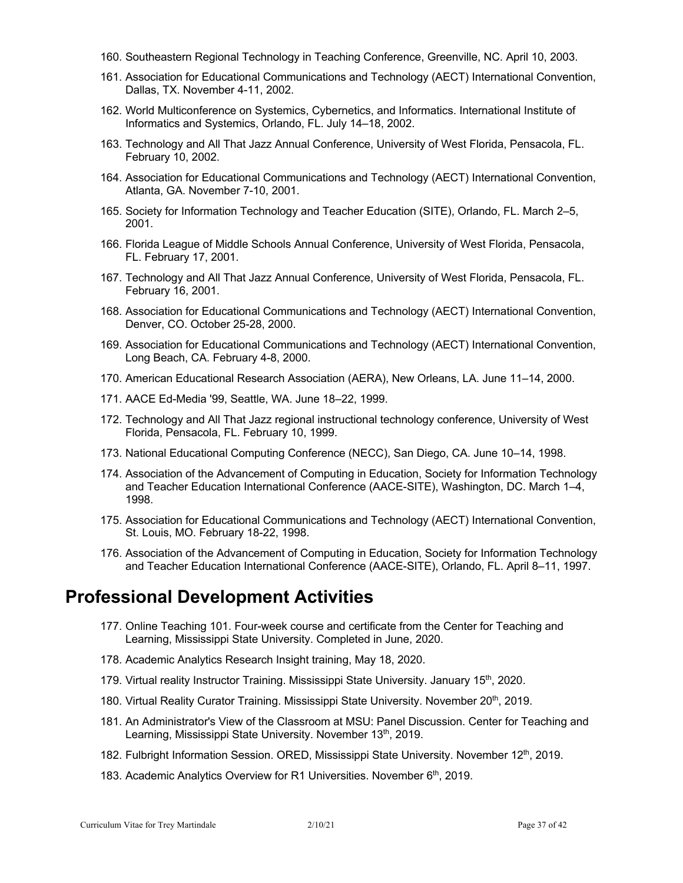- 160. Southeastern Regional Technology in Teaching Conference, Greenville, NC. April 10, 2003.
- 161. Association for Educational Communications and Technology (AECT) International Convention, Dallas, TX. November 4-11, 2002.
- 162. World Multiconference on Systemics, Cybernetics, and Informatics. International Institute of Informatics and Systemics, Orlando, FL. July 14–18, 2002.
- 163. Technology and All That Jazz Annual Conference, University of West Florida, Pensacola, FL. February 10, 2002.
- 164. Association for Educational Communications and Technology (AECT) International Convention, Atlanta, GA. November 7-10, 2001.
- 165. Society for Information Technology and Teacher Education (SITE), Orlando, FL. March 2–5, 2001.
- 166. Florida League of Middle Schools Annual Conference, University of West Florida, Pensacola, FL. February 17, 2001.
- 167. Technology and All That Jazz Annual Conference, University of West Florida, Pensacola, FL. February 16, 2001.
- 168. Association for Educational Communications and Technology (AECT) International Convention, Denver, CO. October 25-28, 2000.
- 169. Association for Educational Communications and Technology (AECT) International Convention, Long Beach, CA. February 4-8, 2000.
- 170. American Educational Research Association (AERA), New Orleans, LA. June 11–14, 2000.
- 171. AACE Ed-Media '99, Seattle, WA. June 18–22, 1999.
- 172. Technology and All That Jazz regional instructional technology conference, University of West Florida, Pensacola, FL. February 10, 1999.
- 173. National Educational Computing Conference (NECC), San Diego, CA. June 10–14, 1998.
- 174. Association of the Advancement of Computing in Education, Society for Information Technology and Teacher Education International Conference (AACE-SITE), Washington, DC. March 1–4, 1998.
- 175. Association for Educational Communications and Technology (AECT) International Convention, St. Louis, MO. February 18-22, 1998.
- 176. Association of the Advancement of Computing in Education, Society for Information Technology and Teacher Education International Conference (AACE-SITE), Orlando, FL. April 8–11, 1997.

## **Professional Development Activities**

- 177. Online Teaching 101. Four-week course and certificate from the Center for Teaching and Learning, Mississippi State University. Completed in June, 2020.
- 178. Academic Analytics Research Insight training, May 18, 2020.
- 179. Virtual reality Instructor Training. Mississippi State University. January 15<sup>th</sup>, 2020.
- 180. Virtual Reality Curator Training. Mississippi State University. November 20<sup>th</sup>, 2019.
- 181. An Administrator's View of the Classroom at MSU: Panel Discussion. Center for Teaching and Learning, Mississippi State University. November 13<sup>th</sup>, 2019.
- 182. Fulbright Information Session. ORED, Mississippi State University. November 12<sup>th</sup>, 2019.
- 183. Academic Analytics Overview for R1 Universities. November 6<sup>th</sup>, 2019.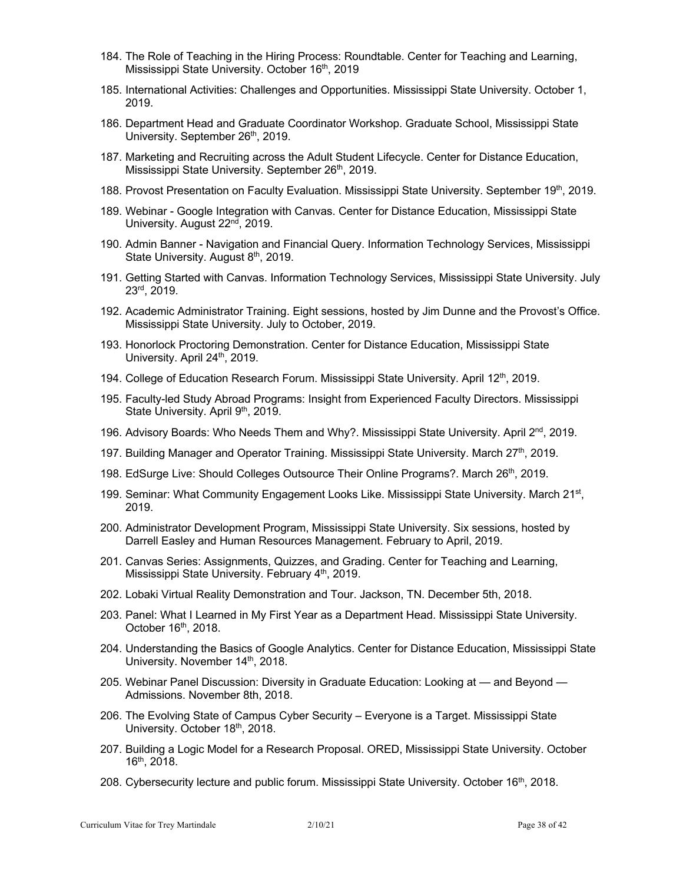- 184. The Role of Teaching in the Hiring Process: Roundtable. Center for Teaching and Learning, Mississippi State University. October 16<sup>th</sup>, 2019
- 185. International Activities: Challenges and Opportunities. Mississippi State University. October 1, 2019.
- 186. Department Head and Graduate Coordinator Workshop. Graduate School, Mississippi State University. September 26<sup>th</sup>, 2019.
- 187. Marketing and Recruiting across the Adult Student Lifecycle. Center for Distance Education, Mississippi State University. September 26<sup>th</sup>, 2019.
- 188. Provost Presentation on Faculty Evaluation. Mississippi State University. September 19<sup>th</sup>, 2019.
- 189. Webinar Google Integration with Canvas. Center for Distance Education, Mississippi State University. August 22<sup>nd</sup>, 2019.
- 190. Admin Banner Navigation and Financial Query. Information Technology Services, Mississippi State University. August 8<sup>th</sup>, 2019.
- 191. Getting Started with Canvas. Information Technology Services, Mississippi State University. July 23rd, 2019.
- 192. Academic Administrator Training. Eight sessions, hosted by Jim Dunne and the Provost's Office. Mississippi State University. July to October, 2019.
- 193. Honorlock Proctoring Demonstration. Center for Distance Education, Mississippi State University. April 24<sup>th</sup>, 2019.
- 194. College of Education Research Forum. Mississippi State University. April 12<sup>th</sup>, 2019.
- 195. Faculty-led Study Abroad Programs: Insight from Experienced Faculty Directors. Mississippi State University. April 9<sup>th</sup>, 2019.
- 196. Advisory Boards: Who Needs Them and Why?. Mississippi State University. April  $2<sup>nd</sup>$ , 2019.
- 197. Building Manager and Operator Training. Mississippi State University. March 27<sup>th</sup>, 2019.
- 198. EdSurge Live: Should Colleges Outsource Their Online Programs?. March 26<sup>th</sup>, 2019.
- 199. Seminar: What Community Engagement Looks Like. Mississippi State University. March 21<sup>st</sup>, 2019.
- 200. Administrator Development Program, Mississippi State University. Six sessions, hosted by Darrell Easley and Human Resources Management. February to April, 2019.
- 201. Canvas Series: Assignments, Quizzes, and Grading. Center for Teaching and Learning, Mississippi State University. February 4<sup>th</sup>, 2019.
- 202. Lobaki Virtual Reality Demonstration and Tour. Jackson, TN. December 5th, 2018.
- 203. Panel: What I Learned in My First Year as a Department Head. Mississippi State University. October 16<sup>th</sup>, 2018.
- 204. Understanding the Basics of Google Analytics. Center for Distance Education, Mississippi State University. November 14<sup>th</sup>, 2018.
- 205. Webinar Panel Discussion: Diversity in Graduate Education: Looking at and Beyond Admissions. November 8th, 2018.
- 206. The Evolving State of Campus Cyber Security Everyone is a Target. Mississippi State University. October 18<sup>th</sup>, 2018.
- 207. Building a Logic Model for a Research Proposal. ORED, Mississippi State University. October 16th, 2018.
- 208. Cybersecurity lecture and public forum. Mississippi State University. October 16th, 2018.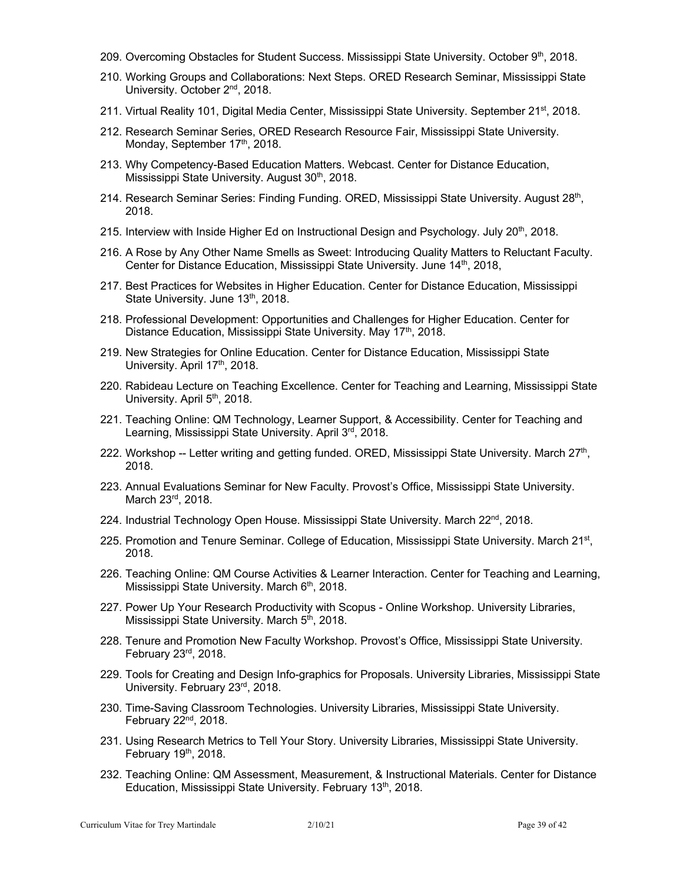- 209. Overcoming Obstacles for Student Success. Mississippi State University. October 9<sup>th</sup>, 2018.
- 210. Working Groups and Collaborations: Next Steps. ORED Research Seminar, Mississippi State University. October 2<sup>nd</sup>, 2018.
- 211. Virtual Reality 101, Digital Media Center, Mississippi State University. September 21<sup>st</sup>, 2018.
- 212. Research Seminar Series, ORED Research Resource Fair, Mississippi State University. Monday, September 17<sup>th</sup>, 2018.
- 213. Why Competency-Based Education Matters. Webcast. Center for Distance Education, Mississippi State University. August 30<sup>th</sup>, 2018.
- 214. Research Seminar Series: Finding Funding. ORED, Mississippi State University. August 28<sup>th</sup>, 2018.
- 215. Interview with Inside Higher Ed on Instructional Design and Psychology. July  $20<sup>th</sup>$ , 2018.
- 216. A Rose by Any Other Name Smells as Sweet: Introducing Quality Matters to Reluctant Faculty. Center for Distance Education, Mississippi State University. June 14<sup>th</sup>, 2018,
- 217. Best Practices for Websites in Higher Education. Center for Distance Education, Mississippi State University. June 13<sup>th</sup>, 2018.
- 218. Professional Development: Opportunities and Challenges for Higher Education. Center for Distance Education, Mississippi State University. May 17<sup>th</sup>, 2018.
- 219. New Strategies for Online Education. Center for Distance Education, Mississippi State University. April 17<sup>th</sup>, 2018.
- 220. Rabideau Lecture on Teaching Excellence. Center for Teaching and Learning, Mississippi State University. April 5<sup>th</sup>, 2018.
- 221. Teaching Online: QM Technology, Learner Support, & Accessibility. Center for Teaching and Learning, Mississippi State University. April 3<sup>rd</sup>, 2018.
- 222. Workshop -- Letter writing and getting funded. ORED, Mississippi State University. March 27<sup>th</sup>, 2018.
- 223. Annual Evaluations Seminar for New Faculty. Provost's Office, Mississippi State University. March 23rd, 2018.
- 224. Industrial Technology Open House. Mississippi State University. March  $22<sup>nd</sup>$ , 2018.
- 225. Promotion and Tenure Seminar. College of Education, Mississippi State University. March 21<sup>st</sup>, 2018.
- 226. Teaching Online: QM Course Activities & Learner Interaction. Center for Teaching and Learning, Mississippi State University. March 6<sup>th</sup>, 2018.
- 227. Power Up Your Research Productivity with Scopus Online Workshop. University Libraries, Mississippi State University. March 5<sup>th</sup>, 2018.
- 228. Tenure and Promotion New Faculty Workshop. Provost's Office, Mississippi State University. February 23rd, 2018.
- 229. Tools for Creating and Design Info-graphics for Proposals. University Libraries, Mississippi State University. February 23rd, 2018.
- 230. Time-Saving Classroom Technologies. University Libraries, Mississippi State University. February  $22<sup>nd</sup>$ , 2018.
- 231. Using Research Metrics to Tell Your Story. University Libraries, Mississippi State University. February 19<sup>th</sup>, 2018.
- 232. Teaching Online: QM Assessment, Measurement, & Instructional Materials. Center for Distance Education, Mississippi State University. February 13<sup>th</sup>, 2018.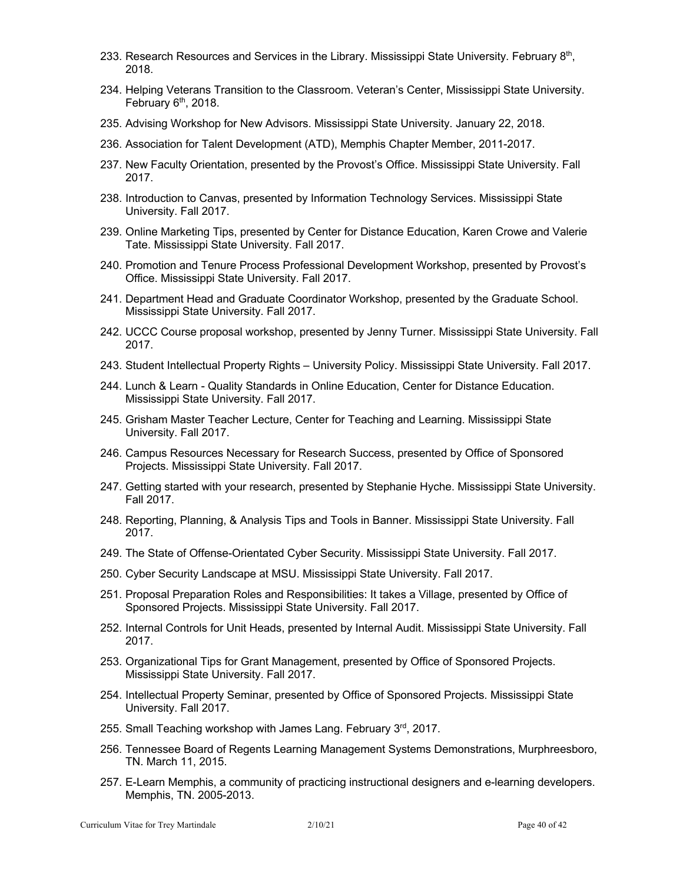- 233. Research Resources and Services in the Library. Mississippi State University. February 8<sup>th</sup>, 2018.
- 234. Helping Veterans Transition to the Classroom. Veteran's Center, Mississippi State University. February  $6<sup>th</sup>$ , 2018.
- 235. Advising Workshop for New Advisors. Mississippi State University. January 22, 2018.
- 236. Association for Talent Development (ATD), Memphis Chapter Member, 2011-2017.
- 237. New Faculty Orientation, presented by the Provost's Office. Mississippi State University. Fall 2017.
- 238. Introduction to Canvas, presented by Information Technology Services. Mississippi State University. Fall 2017.
- 239. Online Marketing Tips, presented by Center for Distance Education, Karen Crowe and Valerie Tate. Mississippi State University. Fall 2017.
- 240. Promotion and Tenure Process Professional Development Workshop, presented by Provost's Office. Mississippi State University. Fall 2017.
- 241. Department Head and Graduate Coordinator Workshop, presented by the Graduate School. Mississippi State University. Fall 2017.
- 242. UCCC Course proposal workshop, presented by Jenny Turner. Mississippi State University. Fall 2017.
- 243. Student Intellectual Property Rights University Policy. Mississippi State University. Fall 2017.
- 244. Lunch & Learn Quality Standards in Online Education, Center for Distance Education. Mississippi State University. Fall 2017.
- 245. Grisham Master Teacher Lecture, Center for Teaching and Learning. Mississippi State University. Fall 2017.
- 246. Campus Resources Necessary for Research Success, presented by Office of Sponsored Projects. Mississippi State University. Fall 2017.
- 247. Getting started with your research, presented by Stephanie Hyche. Mississippi State University. Fall 2017.
- 248. Reporting, Planning, & Analysis Tips and Tools in Banner. Mississippi State University. Fall 2017.
- 249. The State of Offense-Orientated Cyber Security. Mississippi State University. Fall 2017.
- 250. Cyber Security Landscape at MSU. Mississippi State University. Fall 2017.
- 251. Proposal Preparation Roles and Responsibilities: It takes a Village, presented by Office of Sponsored Projects. Mississippi State University. Fall 2017.
- 252. Internal Controls for Unit Heads, presented by Internal Audit. Mississippi State University. Fall 2017.
- 253. Organizational Tips for Grant Management, presented by Office of Sponsored Projects. Mississippi State University. Fall 2017.
- 254. Intellectual Property Seminar, presented by Office of Sponsored Projects. Mississippi State University. Fall 2017.
- 255. Small Teaching workshop with James Lang. February 3rd, 2017.
- 256. Tennessee Board of Regents Learning Management Systems Demonstrations, Murphreesboro, TN. March 11, 2015.
- 257. E-Learn Memphis, a community of practicing instructional designers and e-learning developers. Memphis, TN. 2005-2013.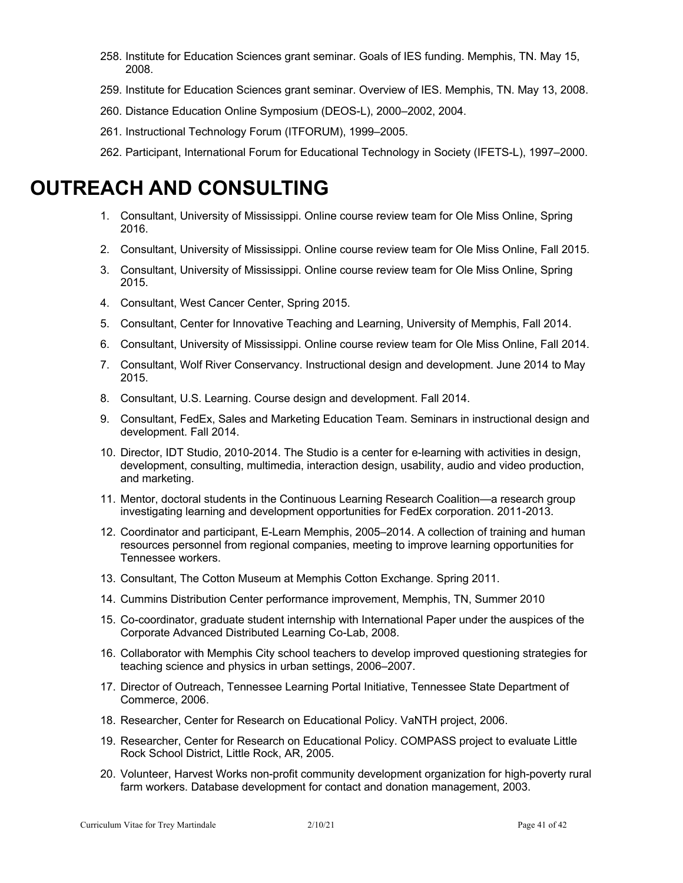- 258. Institute for Education Sciences grant seminar. Goals of IES funding. Memphis, TN. May 15, 2008.
- 259. Institute for Education Sciences grant seminar. Overview of IES. Memphis, TN. May 13, 2008.
- 260. Distance Education Online Symposium (DEOS-L), 2000–2002, 2004.
- 261. Instructional Technology Forum (ITFORUM), 1999–2005.

262. Participant, International Forum for Educational Technology in Society (IFETS-L), 1997–2000.

## **OUTREACH AND CONSULTING**

- 1. Consultant, University of Mississippi. Online course review team for Ole Miss Online, Spring 2016.
- 2. Consultant, University of Mississippi. Online course review team for Ole Miss Online, Fall 2015.
- 3. Consultant, University of Mississippi. Online course review team for Ole Miss Online, Spring 2015.
- 4. Consultant, West Cancer Center, Spring 2015.
- 5. Consultant, Center for Innovative Teaching and Learning, University of Memphis, Fall 2014.
- 6. Consultant, University of Mississippi. Online course review team for Ole Miss Online, Fall 2014.
- 7. Consultant, Wolf River Conservancy. Instructional design and development. June 2014 to May 2015.
- 8. Consultant, U.S. Learning. Course design and development. Fall 2014.
- 9. Consultant, FedEx, Sales and Marketing Education Team. Seminars in instructional design and development. Fall 2014.
- 10. Director, IDT Studio, 2010-2014. The Studio is a center for e-learning with activities in design, development, consulting, multimedia, interaction design, usability, audio and video production, and marketing.
- 11. Mentor, doctoral students in the Continuous Learning Research Coalition—a research group investigating learning and development opportunities for FedEx corporation. 2011-2013.
- 12. Coordinator and participant, E-Learn Memphis, 2005–2014. A collection of training and human resources personnel from regional companies, meeting to improve learning opportunities for Tennessee workers.
- 13. Consultant, The Cotton Museum at Memphis Cotton Exchange. Spring 2011.
- 14. Cummins Distribution Center performance improvement, Memphis, TN, Summer 2010
- 15. Co-coordinator, graduate student internship with International Paper under the auspices of the Corporate Advanced Distributed Learning Co-Lab, 2008.
- 16. Collaborator with Memphis City school teachers to develop improved questioning strategies for teaching science and physics in urban settings, 2006–2007.
- 17. Director of Outreach, Tennessee Learning Portal Initiative, Tennessee State Department of Commerce, 2006.
- 18. Researcher, Center for Research on Educational Policy. VaNTH project, 2006.
- 19. Researcher, Center for Research on Educational Policy. COMPASS project to evaluate Little Rock School District, Little Rock, AR, 2005.
- 20. Volunteer, Harvest Works non-profit community development organization for high-poverty rural farm workers. Database development for contact and donation management, 2003.